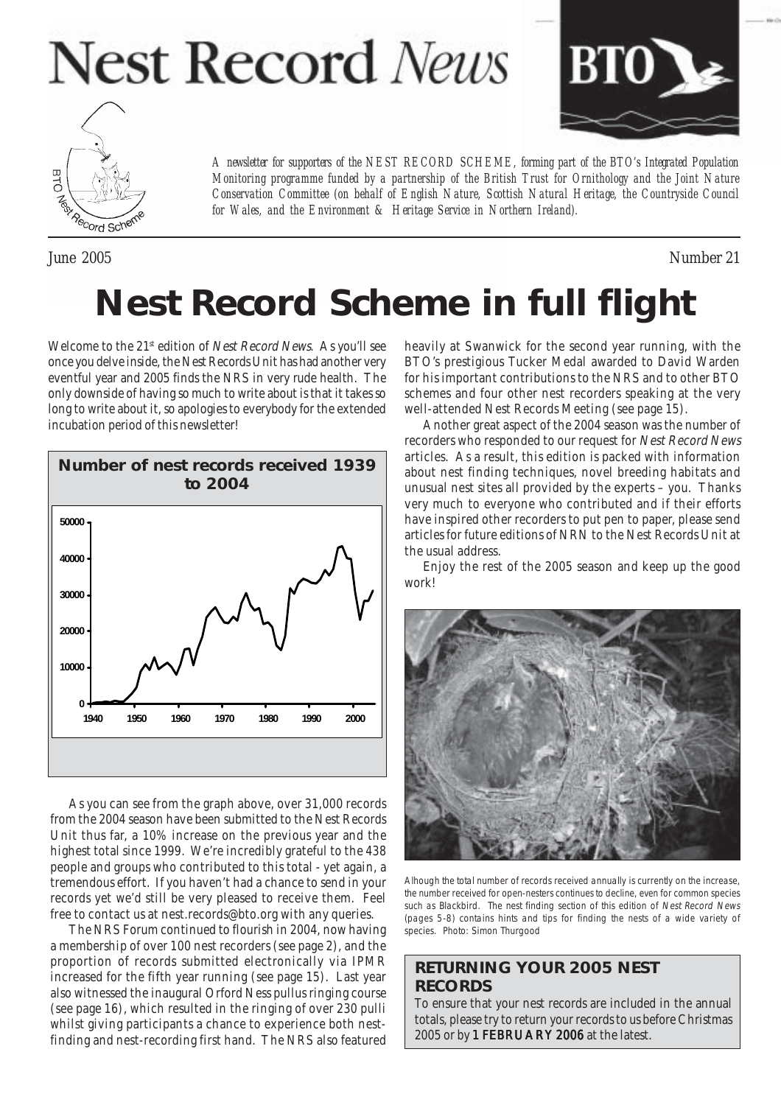# **Nest Record News**





June 2005 Number 21

# **Nest Record Scheme in full flight**

*for Wales, and the Environment & Heritage Service in Northern Ireland).*

*A newsletter for supporters of the NEST RECORD SCHEME, forming part of the BTO's Integrated Population Monitoring programme funded by a partnership of the British Trust for Ornithology and the Joint Nature Conservation Committee (on behalf of English Nature, Scottish Natural Heritage, the Countryside Council*

Welcome to the 21<sup>st</sup> edition of *Nest Record News*. As you'll see once you delve inside, the Nest Records Unit has had another very eventful year and 2005 finds the NRS in very rude health. The only downside of having so much to write about is that it takes so long to write about it, so apologies to everybody for the extended incubation period of this newsletter!



As you can see from the graph above, over 31,000 records from the 2004 season have been submitted to the Nest Records Unit thus far, a 10% increase on the previous year and the highest total since 1999. We're incredibly grateful to the 438 people and groups who contributed to this total - yet again, a tremendous effort. If you haven't had a chance to send in your records yet we'd still be very pleased to receive them. Feel free to contact us at nest.records@bto.org with any queries.

The NRS Forum continued to flourish in 2004, now having a membership of over 100 nest recorders (see page 2), and the proportion of records submitted electronically via IPMR increased for the fifth year running (see page 15). Last year also witnessed the inaugural Orford Ness pullus ringing course (see page 16), which resulted in the ringing of over 230 pulli whilst giving participants a chance to experience both nestfinding and nest-recording first hand. The NRS also featured

heavily at Swanwick for the second year running, with the BTO's prestigious Tucker Medal awarded to David Warden for his important contributions to the NRS and to other BTO schemes and four other nest recorders speaking at the very well-attended Nest Records Meeting (see page 15).

Another great aspect of the 2004 season was the number of recorders who responded to our request for Nest Record News articles. As a result, this edition is packed with information about nest finding techniques, novel breeding habitats and unusual nest sites all provided by the experts – you. Thanks very much to everyone who contributed and if their efforts have inspired other recorders to put pen to paper, please send articles for future editions of NRN to the Nest Records Unit at the usual address.

Enjoy the rest of the 2005 season and keep up the good work!



Alhough the total number of records received annually is currently on the increase, the number received for open-nesters continues to decline, even for common species such as Blackbird. The nest finding section of this edition of Nest Record News (pages 5-8) contains hints and tips for finding the nests of a wide variety of species. Photo: Simon Thurgood

# **RETURNING YOUR 2005 NEST RECORDS**

To ensure that your nest records are included in the annual totals, please try to return your records to us before Christmas 2005 or by 1 FEBRUARY 2006 at the latest.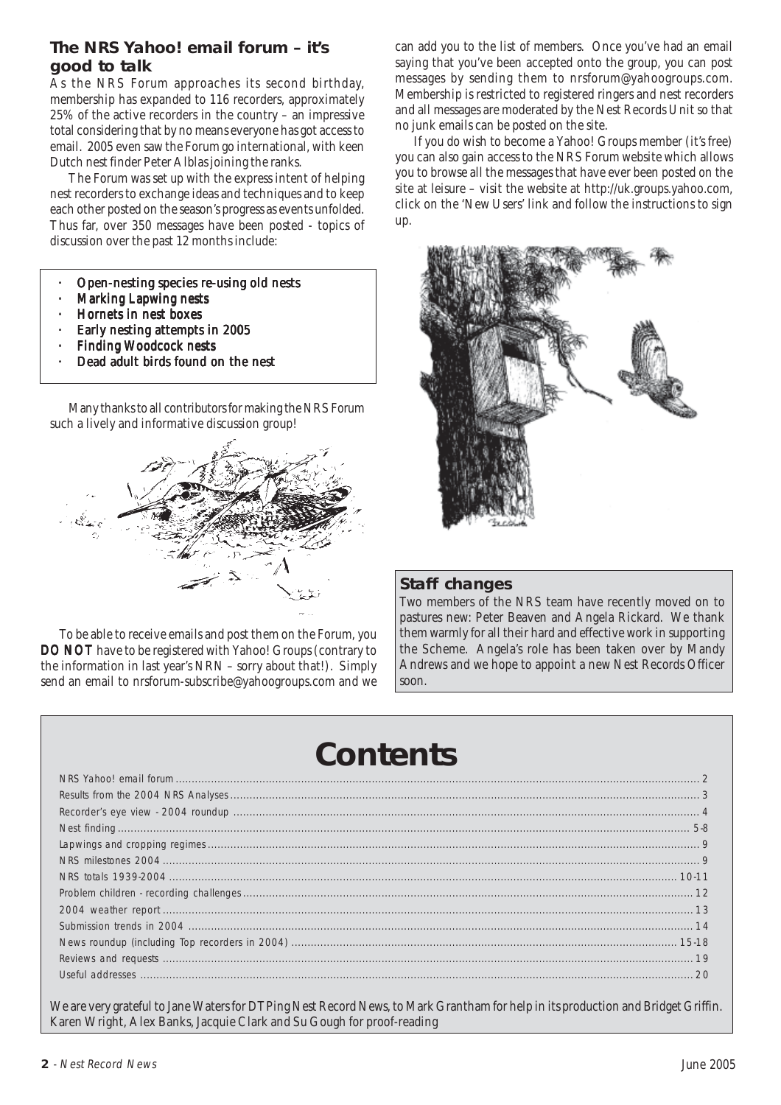# **The NRS Yahoo! email forum – it's good to talk**

As the NRS Forum approaches its second birthday, membership has expanded to 116 recorders, approximately 25% of the active recorders in the country – an impressive total considering that by no means everyone has got access to email. 2005 even saw the Forum go international, with keen Dutch nest finder Peter Alblas joining the ranks.

The Forum was set up with the express intent of helping nest recorders to exchange ideas and techniques and to keep each other posted on the season's progress as events unfolded. Thus far, over 350 messages have been posted - topics of discussion over the past 12 months include:

- · Open-nesting species re-using old nests
- **Marking Lapwing nests**
- Hornets in nest boxes
- Early nesting attempts in 2005
- **Finding Woodcock nests**
- Dead adult birds found on the nest

Many thanks to all contributors for making the NRS Forum such a lively and informative discussion group!



To be able to receive emails and post them on the Forum, you DO NOT have to be registered with Yahoo! Groups (contrary to the information in last year's NRN – sorry about that!). Simply send an email to nrsforum-subscribe@yahoogroups.com and we

can add you to the list of members. Once you've had an email saying that you've been accepted onto the group, you can post messages by sending them to nrsforum@yahoogroups.com. Membership is restricted to registered ringers and nest recorders and all messages are moderated by the Nest Records Unit so that no junk emails can be posted on the site.

If you do wish to become a Yahoo! Groups member (it's free) you can also gain access to the NRS Forum website which allows you to browse all the messages that have ever been posted on the site at leisure – visit the website at http://uk.groups.yahoo.com, click on the 'New Users' link and follow the instructions to sign up.



#### **Staff changes**

Two members of the NRS team have recently moved on to pastures new: Peter Beaven and Angela Rickard. We thank them warmly for all their hard and effective work in supporting the Scheme. Angela's role has been taken over by Mandy Andrews and we hope to appoint a new Nest Records Officer soon.

# **Contents**

We are very grateful to Jane Waters for DTPing Nest Record News, to Mark Grantham for help in its production and Bridget Griffin. Karen Wright, Alex Banks, Jacquie Clark and Su Gough for proof-reading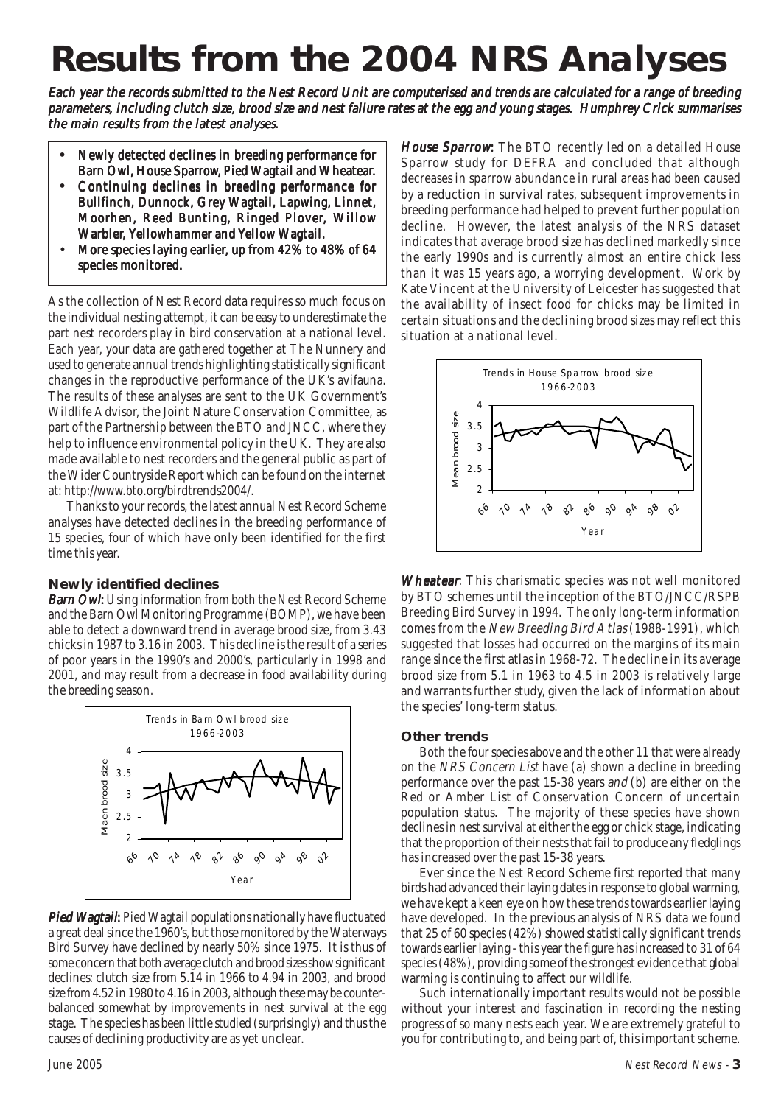# **Results from the 2004 NRS Analyses**

Each year the records submitted to the Nest Record Unit are computerised and trends are calculated for a range of breeding parameters, including clutch size, brood size and nest failure rates at the egg and young stages. Humphrey Crick summarises the main results from the latest analyses.

- **•** Newly detected declines in breeding performance for Newly declines breeding performance for Barn Owl, House Sparrow, Pied Wagtail and Wheatear.
- Continuing declines in breeding performance for Bullfinch, Dunnock, Grey Wagtail, Lapwing, Linnet, Moorhen, Reed Bunting, Ringed Plover, Willow Warbler, Yellowhammer and Yellow Wagtail.
- More species laying earlier, up from 42% to 48% of 64 species monitored.

As the collection of Nest Record data requires so much focus on the individual nesting attempt, it can be easy to underestimate the part nest recorders play in bird conservation at a national level. Each year, your data are gathered together at The Nunnery and used to generate annual trends highlighting statistically significant changes in the reproductive performance of the UK's avifauna. The results of these analyses are sent to the UK Government's Wildlife Advisor, the Joint Nature Conservation Committee, as part of the Partnership between the BTO and JNCC, where they help to influence environmental policy in the UK. They are also made available to nest recorders and the general public as part of the Wider Countryside Report which can be found on the internet at: http://www.bto.org/birdtrends2004/.

Thanks to your records, the latest annual Nest Record Scheme analyses have detected declines in the breeding performance of 15 species, four of which have only been identified for the first time this year.

#### **Newly identified declines**

**Barn Owl:** Using information from both the Nest Record Scheme and the Barn Owl Monitoring Programme (BOMP), we have been able to detect a downward trend in average brood size, from 3.43 chicks in 1987 to 3.16 in 2003. This decline is the result of a series of poor years in the 1990's and 2000's, particularly in 1998 and 2001, and may result from a decrease in food availability during the breeding season.



**Pied Wagtail:** Pied Wagtail populations nationally have fluctuated a great deal since the 1960's, but those monitored by the Waterways Bird Survey have declined by nearly 50% since 1975. It is thus of some concern that both average clutch and brood sizes show significant declines: clutch size from 5.14 in 1966 to 4.94 in 2003, and brood size from 4.52 in 1980 to 4.16 in 2003, although these may be counterbalanced somewhat by improvements in nest survival at the egg stage. The species has been little studied (surprisingly) and thus the causes of declining productivity are as yet unclear.

House Sparrow: The BTO recently led on a detailed House Sparrow study for DEFRA and concluded that although decreases in sparrow abundance in rural areas had been caused by a reduction in survival rates, subsequent improvements in breeding performance had helped to prevent further population decline. However, the latest analysis of the NRS dataset indicates that average brood size has declined markedly since the early 1990s and is currently almost an entire chick less than it was 15 years ago, a worrying development. Work by Kate Vincent at the University of Leicester has suggested that the availability of insect food for chicks may be limited in certain situations and the declining brood sizes may reflect this situation at a national level.



Wheatear. This charismatic species was not well monitored by BTO schemes until the inception of the BTO/JNCC/RSPB Breeding Bird Survey in 1994. The only long-term information comes from the New Breeding Bird Atlas (1988-1991), which suggested that losses had occurred on the margins of its main range since the first atlas in 1968-72. The decline in its average brood size from 5.1 in 1963 to 4.5 in 2003 is relatively large and warrants further study, given the lack of information about the species' long-term status.

#### **Other trends**

Both the four species above and the other 11 that were already on the NRS Concern List have (a) shown a decline in breeding performance over the past 15-38 years and (b) are either on the Red or Amber List of Conservation Concern of uncertain population status. The majority of these species have shown declines in nest survival at either the egg or chick stage, indicating that the proportion of their nests that fail to produce any fledglings has increased over the past 15-38 years.

Ever since the Nest Record Scheme first reported that many birds had advanced their laying dates in response to global warming, we have kept a keen eye on how these trends towards earlier laying have developed. In the previous analysis of NRS data we found that 25 of 60 species (42%) showed statistically significant trends towards earlier laying - this year the figure has increased to 31 of 64 species (48%), providing some of the strongest evidence that global warming is continuing to affect our wildlife.

Such internationally important results would not be possible without your interest and fascination in recording the nesting progress of so many nests each year. We are extremely grateful to you for contributing to, and being part of, this important scheme.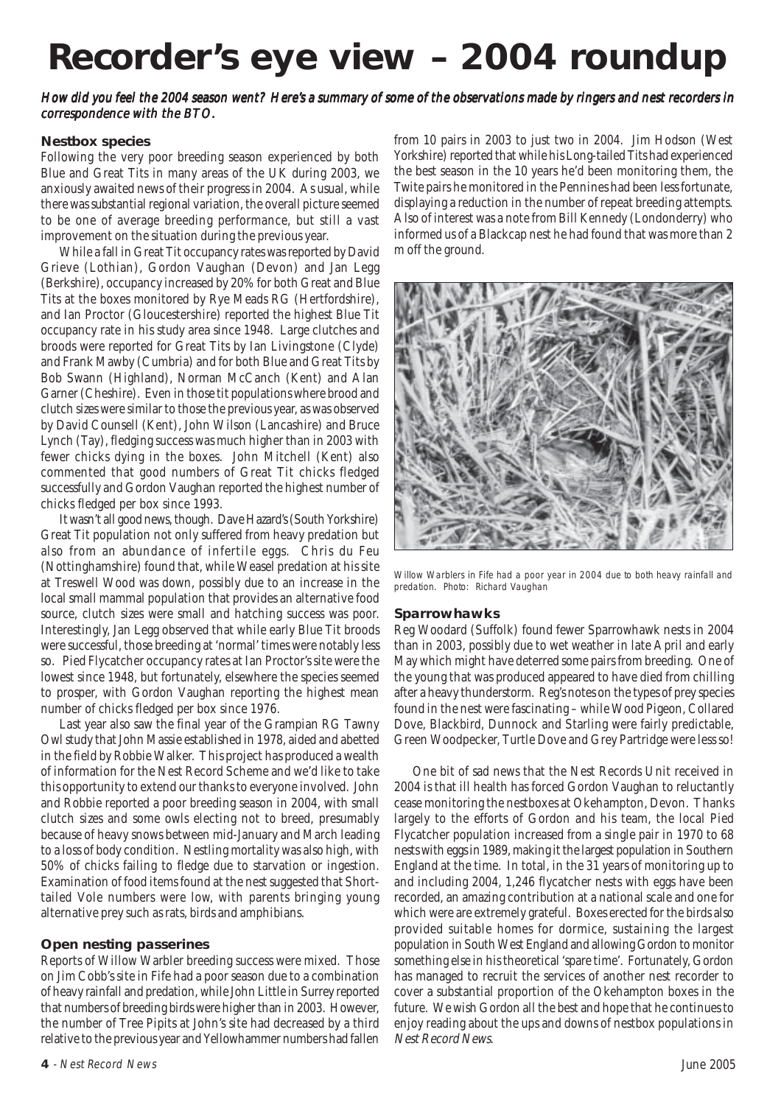# **Recorder's eye view – 2004 roundup**

#### How did you feel the 2004 season went? Here's a summary of some of the observations made by ringers and nest recorders in correspondence with the BTO.

#### **Nestbox species**

Following the very poor breeding season experienced by both Blue and Great Tits in many areas of the UK during 2003, we anxiously awaited news of their progress in 2004. As usual, while there was substantial regional variation, the overall picture seemed to be one of average breeding performance, but still a vast improvement on the situation during the previous year.

While a fall in Great Tit occupancy rates was reported by David Grieve (Lothian), Gordon Vaughan (Devon) and Jan Legg (Berkshire), occupancy increased by 20% for both Great and Blue Tits at the boxes monitored by Rye Meads RG (Hertfordshire), and Ian Proctor (Gloucestershire) reported the highest Blue Tit occupancy rate in his study area since 1948. Large clutches and broods were reported for Great Tits by Ian Livingstone (Clyde) and Frank Mawby (Cumbria) and for both Blue and Great Tits by Bob Swann (Highland), Norman McCanch (Kent) and Alan Garner (Cheshire). Even in those tit populations where brood and clutch sizes were similar to those the previous year, as was observed by David Counsell (Kent), John Wilson (Lancashire) and Bruce Lynch (Tay), fledging success was much higher than in 2003 with fewer chicks dying in the boxes. John Mitchell (Kent) also commented that good numbers of Great Tit chicks fledged successfully and Gordon Vaughan reported the highest number of chicks fledged per box since 1993.

It wasn't all good news, though. Dave Hazard's (South Yorkshire) Great Tit population not only suffered from heavy predation but also from an abundance of infertile eggs. Chris du Feu (Nottinghamshire) found that, while Weasel predation at his site at Treswell Wood was down, possibly due to an increase in the local small mammal population that provides an alternative food source, clutch sizes were small and hatching success was poor. Interestingly, Jan Legg observed that while early Blue Tit broods were successful, those breeding at 'normal' times were notably less so. Pied Flycatcher occupancy rates at Ian Proctor's site were the lowest since 1948, but fortunately, elsewhere the species seemed to prosper, with Gordon Vaughan reporting the highest mean number of chicks fledged per box since 1976.

Last year also saw the final year of the Grampian RG Tawny Owl study that John Massie established in 1978, aided and abetted in the field by Robbie Walker. This project has produced a wealth of information for the Nest Record Scheme and we'd like to take this opportunity to extend our thanks to everyone involved. John and Robbie reported a poor breeding season in 2004, with small clutch sizes and some owls electing not to breed, presumably because of heavy snows between mid-January and March leading to a loss of body condition. Nestling mortality was also high, with 50% of chicks failing to fledge due to starvation or ingestion. Examination of food items found at the nest suggested that Shorttailed Vole numbers were low, with parents bringing young alternative prey such as rats, birds and amphibians.

#### **Open nesting passerines**

Reports of Willow Warbler breeding success were mixed. Those on Jim Cobb's site in Fife had a poor season due to a combination of heavy rainfall and predation, while John Little in Surrey reported that numbers of breeding birds were higher than in 2003. However, the number of Tree Pipits at John's site had decreased by a third relative to the previous year and Yellowhammer numbers had fallen from 10 pairs in 2003 to just two in 2004. Jim Hodson (West Yorkshire) reported that while his Long-tailed Tits had experienced the best season in the 10 years he'd been monitoring them, the Twite pairs he monitored in the Pennines had been less fortunate, displaying a reduction in the number of repeat breeding attempts. Also of interest was a note from Bill Kennedy (Londonderry) who informed us of a Blackcap nest he had found that was more than 2 m off the ground.



Willow Warblers in Fife had a poor year in 2004 due to both heavy rainfall and predation. Photo: Richard Vaughan

#### **Sparrowhawks**

Reg Woodard (Suffolk) found fewer Sparrowhawk nests in 2004 than in 2003, possibly due to wet weather in late April and early May which might have deterred some pairs from breeding. One of the young that was produced appeared to have died from chilling after a heavy thunderstorm. Reg's notes on the types of prey species found in the nest were fascinating – while Wood Pigeon, Collared Dove, Blackbird, Dunnock and Starling were fairly predictable, Green Woodpecker, Turtle Dove and Grey Partridge were less so!

One bit of sad news that the Nest Records Unit received in 2004 is that ill health has forced Gordon Vaughan to reluctantly cease monitoring the nestboxes at Okehampton, Devon. Thanks largely to the efforts of Gordon and his team, the local Pied Flycatcher population increased from a single pair in 1970 to 68 nests with eggs in 1989, making it the largest population in Southern England at the time. In total, in the 31 years of monitoring up to and including 2004, 1,246 flycatcher nests with eggs have been recorded, an amazing contribution at a national scale and one for which were are extremely grateful. Boxes erected for the birds also provided suitable homes for dormice, sustaining the largest population in South West England and allowing Gordon to monitor something else in his theoretical 'spare time'. Fortunately, Gordon has managed to recruit the services of another nest recorder to cover a substantial proportion of the Okehampton boxes in the future. We wish Gordon all the best and hope that he continues to enjoy reading about the ups and downs of nestbox populations in Nest Record News.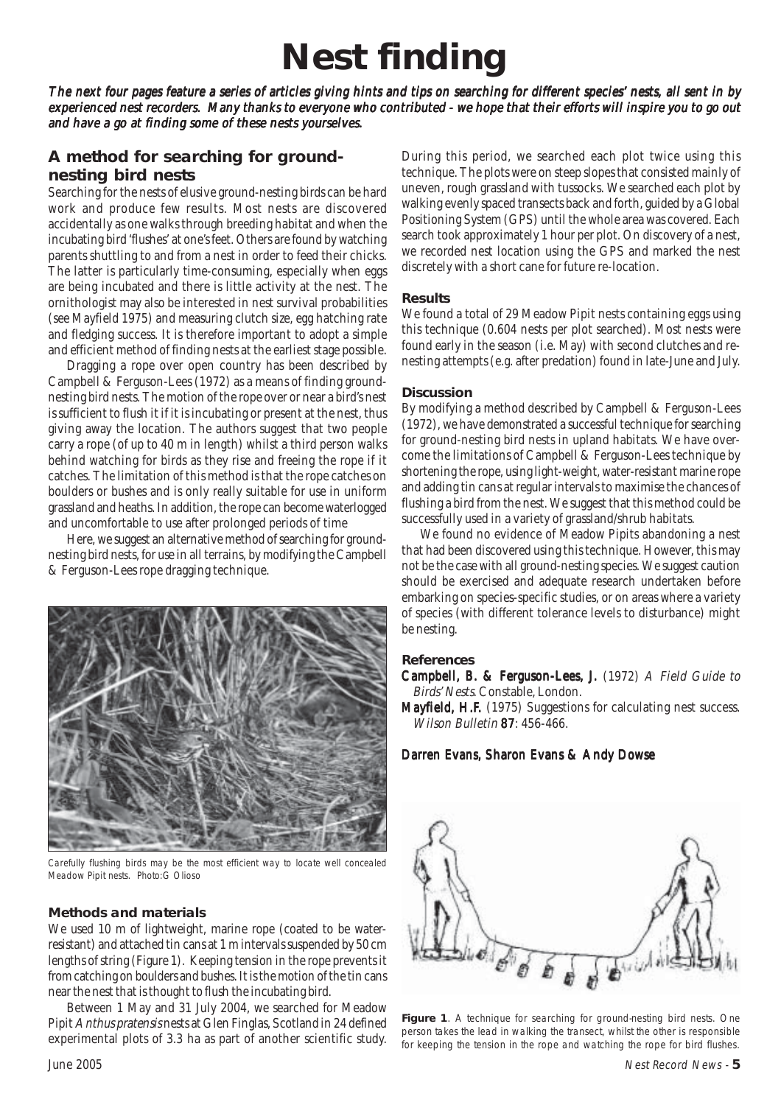# **Nest finding**

The next four pages feature a series of articles giving hints and tips on searching for different species' nests, all sent in by experienced nest recorders. Many thanks to everyone who contributed - we hope that their efforts will inspire you to go out and have a go at finding some of these nests yourselves.

### **A method for searching for groundnesting bird nests**

Searching for the nests of elusive ground-nesting birds can be hard work and produce few results. Most nests are discovered accidentally as one walks through breeding habitat and when the incubating bird 'flushes' at one's feet. Others are found by watching parents shuttling to and from a nest in order to feed their chicks. The latter is particularly time-consuming, especially when eggs are being incubated and there is little activity at the nest. The ornithologist may also be interested in nest survival probabilities (see Mayfield 1975) and measuring clutch size, egg hatching rate and fledging success. It is therefore important to adopt a simple and efficient method of finding nests at the earliest stage possible.

Dragging a rope over open country has been described by Campbell & Ferguson-Lees (1972) as a means of finding groundnesting bird nests. The motion of the rope over or near a bird's nest is sufficient to flush it if it is incubating or present at the nest, thus giving away the location. The authors suggest that two people carry a rope (of up to 40 m in length) whilst a third person walks behind watching for birds as they rise and freeing the rope if it catches. The limitation of this method is that the rope catches on boulders or bushes and is only really suitable for use in uniform grassland and heaths. In addition, the rope can become waterlogged and uncomfortable to use after prolonged periods of time

Here, we suggest an alternative method of searching for groundnesting bird nests, for use in all terrains, by modifying the Campbell & Ferguson-Lees rope dragging technique.



Carefully flushing birds may be the most efficient way to locate well concealed Meadow Pipit nests. Photo:G Olioso

#### **Methods and materials**

We used 10 m of lightweight, marine rope (coated to be waterresistant) and attached tin cans at 1 m intervals suspended by 50 cm lengths of string (Figure 1). Keeping tension in the rope prevents it from catching on boulders and bushes. It is the motion of the tin cans near the nest that is thought to flush the incubating bird.

Between 1 May and 31 July 2004, we searched for Meadow Pipit Anthus pratensis nests at Glen Finglas, Scotland in 24 defined experimental plots of 3.3 ha as part of another scientific study. During this period, we searched each plot twice using this technique. The plots were on steep slopes that consisted mainly of uneven, rough grassland with tussocks. We searched each plot by walking evenly spaced transects back and forth, guided by a Global Positioning System (GPS) until the whole area was covered. Each search took approximately 1 hour per plot. On discovery of a nest, we recorded nest location using the GPS and marked the nest discretely with a short cane for future re-location.

#### **Results**

We found a total of 29 Meadow Pipit nests containing eggs using this technique (0.604 nests per plot searched). Most nests were found early in the season (i.e. May) with second clutches and renesting attempts (e.g. after predation) found in late-June and July.

#### **Discussion**

By modifying a method described by Campbell & Ferguson-Lees (1972), we have demonstrated a successful technique for searching for ground-nesting bird nests in upland habitats. We have overcome the limitations of Campbell & Ferguson-Lees technique by shortening the rope, using light-weight, water-resistant marine rope and adding tin cans at regular intervals to maximise the chances of flushing a bird from the nest. We suggest that this method could be successfully used in a variety of grassland/shrub habitats.

We found no evidence of Meadow Pipits abandoning a nest that had been discovered using this technique. However, this may not be the case with all ground-nesting species. We suggest caution should be exercised and adequate research undertaken before embarking on species-specific studies, or on areas where a variety of species (with different tolerance levels to disturbance) might be nesting.

#### **References**

Campbell, B. & Ferguson-Lees, J. (1972) A Field Guide to Birds' Nests. Constable, London.

Mayfield, H.F. (1975) Suggestions for calculating nest success. Wilson Bulletin 87: 456-466.

#### Darren Evans, Sharon Evans & Andy Dowse



Figure 1. A technique for searching for ground-nesting bird nests. One person takes the lead in walking the transect, whilst the other is responsible for keeping the tension in the rope and watching the rope for bird flushes.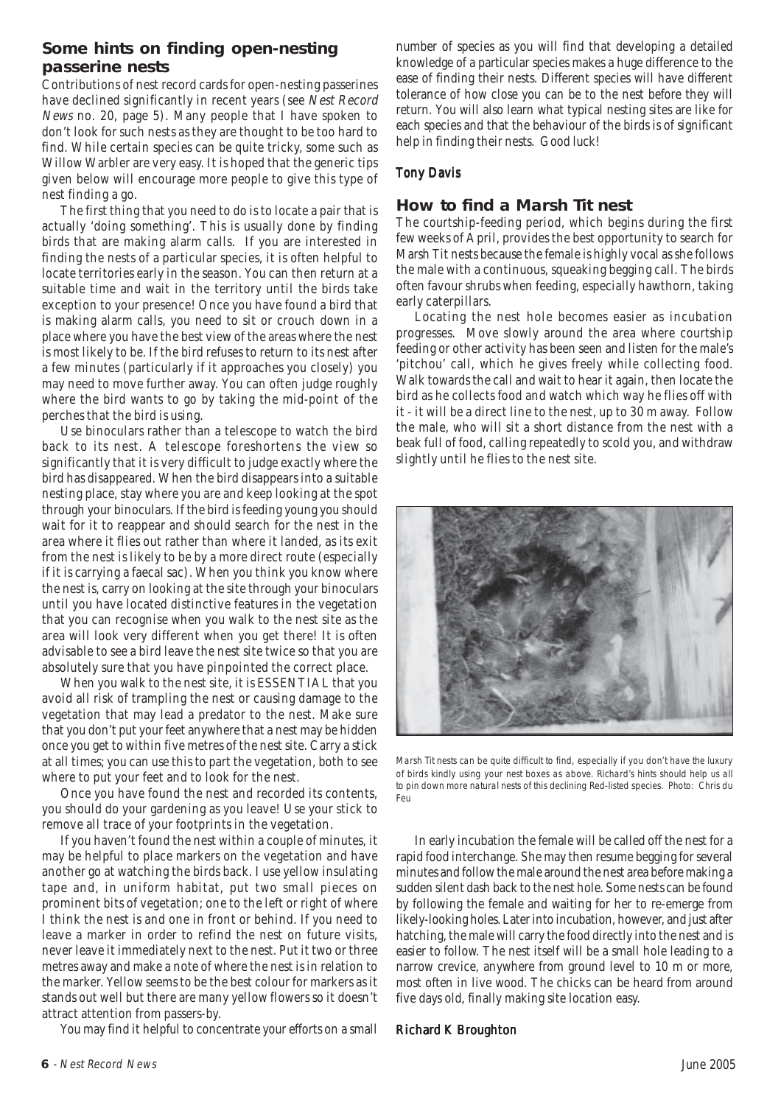### **Some hints on finding open-nesting passerine nests**

Contributions of nest record cards for open-nesting passerines have declined significantly in recent years (see Nest Record News no. 20, page 5). Many people that I have spoken to don't look for such nests as they are thought to be too hard to find. While certain species can be quite tricky, some such as Willow Warbler are very easy. It is hoped that the generic tips given below will encourage more people to give this type of nest finding a go.

The first thing that you need to do is to locate a pair that is actually 'doing something'. This is usually done by finding birds that are making alarm calls. If you are interested in finding the nests of a particular species, it is often helpful to locate territories early in the season. You can then return at a suitable time and wait in the territory until the birds take exception to your presence! Once you have found a bird that is making alarm calls, you need to sit or crouch down in a place where you have the best view of the areas where the nest is most likely to be. If the bird refuses to return to its nest after a few minutes (particularly if it approaches you closely) you may need to move further away. You can often judge roughly where the bird wants to go by taking the mid-point of the perches that the bird is using.

Use binoculars rather than a telescope to watch the bird back to its nest. A telescope foreshortens the view so significantly that it is very difficult to judge exactly where the bird has disappeared. When the bird disappears into a suitable nesting place, stay where you are and keep looking at the spot through your binoculars. If the bird is feeding young you should wait for it to reappear and should search for the nest in the area where it flies out rather than where it landed, as its exit from the nest is likely to be by a more direct route (especially if it is carrying a faecal sac). When you think you know where the nest is, carry on looking at the site through your binoculars until you have located distinctive features in the vegetation that you can recognise when you walk to the nest site as the area will look very different when you get there! It is often advisable to see a bird leave the nest site twice so that you are absolutely sure that you have pinpointed the correct place.

When you walk to the nest site, it is ESSENTIAL that you avoid all risk of trampling the nest or causing damage to the vegetation that may lead a predator to the nest. Make sure that you don't put your feet anywhere that a nest may be hidden once you get to within five metres of the nest site. Carry a stick at all times; you can use this to part the vegetation, both to see where to put your feet and to look for the nest.

Once you have found the nest and recorded its contents, you should do your gardening as you leave! Use your stick to remove all trace of your footprints in the vegetation.

If you haven't found the nest within a couple of minutes, it may be helpful to place markers on the vegetation and have another go at watching the birds back. I use yellow insulating tape and, in uniform habitat, put two small pieces on prominent bits of vegetation; one to the left or right of where I think the nest is and one in front or behind. If you need to leave a marker in order to refind the nest on future visits, never leave it immediately next to the nest. Put it two or three metres away and make a note of where the nest is in relation to the marker. Yellow seems to be the best colour for markers as it stands out well but there are many yellow flowers so it doesn't attract attention from passers-by.

You may find it helpful to concentrate your efforts on a small

number of species as you will find that developing a detailed knowledge of a particular species makes a huge difference to the ease of finding their nests. Different species will have different tolerance of how close you can be to the nest before they will return. You will also learn what typical nesting sites are like for each species and that the behaviour of the birds is of significant help in finding their nests. Good luck!

#### **Tony Davis**

#### **How to find a Marsh Tit nest**

The courtship-feeding period, which begins during the first few weeks of April, provides the best opportunity to search for Marsh Tit nests because the female is highly vocal as she follows the male with a continuous, squeaking begging call. The birds often favour shrubs when feeding, especially hawthorn, taking early caterpillars.

Locating the nest hole becomes easier as incubation progresses. Move slowly around the area where courtship feeding or other activity has been seen and listen for the male's 'pitchou' call, which he gives freely while collecting food. Walk towards the call and wait to hear it again, then locate the bird as he collects food and watch which way he flies off with it - it will be a direct line to the nest, up to 30 m away. Follow the male, who will sit a short distance from the nest with a beak full of food, calling repeatedly to scold you, and withdraw slightly until he flies to the nest site.



Marsh Tit nests can be quite difficult to find, especially if you don't have the luxury of birds kindly using your nest boxes as above. Richard's hints should help us all to pin down more natural nests of this declining Red-listed species. Photo: Chris du Feu

In early incubation the female will be called off the nest for a rapid food interchange. She may then resume begging for several minutes and follow the male around the nest area before making a sudden silent dash back to the nest hole. Some nests can be found by following the female and waiting for her to re-emerge from likely-looking holes. Later into incubation, however, and just after hatching, the male will carry the food directly into the nest and is easier to follow. The nest itself will be a small hole leading to a narrow crevice, anywhere from ground level to 10 m or more, most often in live wood. The chicks can be heard from around five days old, finally making site location easy.

#### Richard K Broughton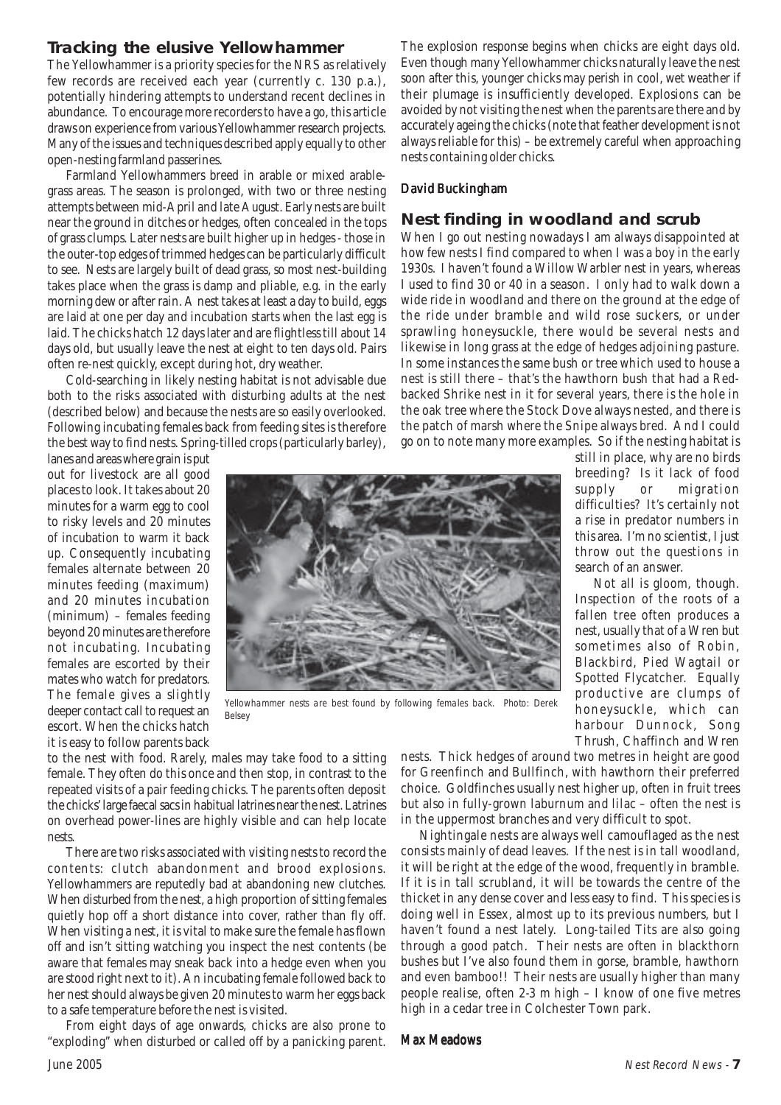### **Tracking the elusive Yellowhammer**

The Yellowhammer is a priority species for the NRS as relatively few records are received each year (currently c. 130 p.a.), potentially hindering attempts to understand recent declines in abundance. To encourage more recorders to have a go, this article draws on experience from various Yellowhammer research projects. Many of the issues and techniques described apply equally to other open-nesting farmland passerines.

Farmland Yellowhammers breed in arable or mixed arablegrass areas. The season is prolonged, with two or three nesting attempts between mid-April and late August. Early nests are built near the ground in ditches or hedges, often concealed in the tops of grass clumps. Later nests are built higher up in hedges - those in the outer-top edges of trimmed hedges can be particularly difficult to see. Nests are largely built of dead grass, so most nest-building takes place when the grass is damp and pliable, e.g. in the early morning dew or after rain. A nest takes at least a day to build, eggs are laid at one per day and incubation starts when the last egg is laid. The chicks hatch 12 days later and are flightless till about 14 days old, but usually leave the nest at eight to ten days old. Pairs often re-nest quickly, except during hot, dry weather.

Cold-searching in likely nesting habitat is not advisable due both to the risks associated with disturbing adults at the nest (described below) and because the nests are so easily overlooked. Following incubating females back from feeding sites is therefore the best way to find nests. Spring-tilled crops (particularly barley),

The explosion response begins when chicks are eight days old. Even though many Yellowhammer chicks naturally leave the nest soon after this, younger chicks may perish in cool, wet weather if their plumage is insufficiently developed. Explosions can be avoided by not visiting the nest when the parents are there and by accurately ageing the chicks (note that feather development is not always reliable for this) – be extremely careful when approaching nests containing older chicks.

#### David Buckingham

### **Nest finding in woodland and scrub**

When I go out nesting nowadays I am always disappointed at how few nests I find compared to when I was a boy in the early 1930s. I haven't found a Willow Warbler nest in years, whereas I used to find 30 or 40 in a season. I only had to walk down a wide ride in woodland and there on the ground at the edge of the ride under bramble and wild rose suckers, or under sprawling honeysuckle, there would be several nests and likewise in long grass at the edge of hedges adjoining pasture. In some instances the same bush or tree which used to house a nest is still there – that's the hawthorn bush that had a Redbacked Shrike nest in it for several years, there is the hole in the oak tree where the Stock Dove always nested, and there is the patch of marsh where the Snipe always bred. And I could go on to note many more examples. So if the nesting habitat is

lanes and areas where grain is put out for livestock are all good places to look. It takes about 20 minutes for a warm egg to cool to risky levels and 20 minutes of incubation to warm it back up. Consequently incubating females alternate between 20 minutes feeding (maximum) and 20 minutes incubation (minimum) – females feeding beyond 20 minutes are therefore not incubating. Incubating females are escorted by their mates who watch for predators. The female gives a slightly deeper contact call to request an escort. When the chicks hatch it is easy to follow parents back



Yellowhammer nests are best found by following females back. Photo: Derek Belsey

still in place, why are no birds breeding? Is it lack of food supply or migration difficulties? It's certainly not a rise in predator numbers in this area. I'm no scientist, I just throw out the questions in search of an answer.

Not all is gloom, though. Inspection of the roots of a fallen tree often produces a nest, usually that of a Wren but sometimes also of Robin, Blackbird, Pied Wagtail or Spotted Flycatcher. Equally productive are clumps of honeysuckle, which can harbour Dunnock, Song Thrush, Chaffinch and Wren

to the nest with food. Rarely, males may take food to a sitting female. They often do this once and then stop, in contrast to the repeated visits of a pair feeding chicks. The parents often deposit the chicks' large faecal sacs in habitual latrines near the nest. Latrines on overhead power-lines are highly visible and can help locate nests.

There are two risks associated with visiting nests to record the contents: clutch abandonment and brood explosions. Yellowhammers are reputedly bad at abandoning new clutches. When disturbed from the nest, a high proportion of sitting females quietly hop off a short distance into cover, rather than fly off. When visiting a nest, it is vital to make sure the female has flown off and isn't sitting watching you inspect the nest contents (be aware that females may sneak back into a hedge even when you are stood right next to it). An incubating female followed back to her nest should always be given 20 minutes to warm her eggs back to a safe temperature before the nest is visited.

From eight days of age onwards, chicks are also prone to "exploding" when disturbed or called off by a panicking parent.

nests. Thick hedges of around two metres in height are good for Greenfinch and Bullfinch, with hawthorn their preferred choice. Goldfinches usually nest higher up, often in fruit trees but also in fully-grown laburnum and lilac – often the nest is in the uppermost branches and very difficult to spot.

Nightingale nests are always well camouflaged as the nest consists mainly of dead leaves. If the nest is in tall woodland, it will be right at the edge of the wood, frequently in bramble. If it is in tall scrubland, it will be towards the centre of the thicket in any dense cover and less easy to find. This species is doing well in Essex, almost up to its previous numbers, but I haven't found a nest lately. Long-tailed Tits are also going through a good patch. Their nests are often in blackthorn bushes but I've also found them in gorse, bramble, hawthorn and even bamboo!! Their nests are usually higher than many people realise, often 2-3 m high – I know of one five metres high in a cedar tree in Colchester Town park.

#### **Max Meadows**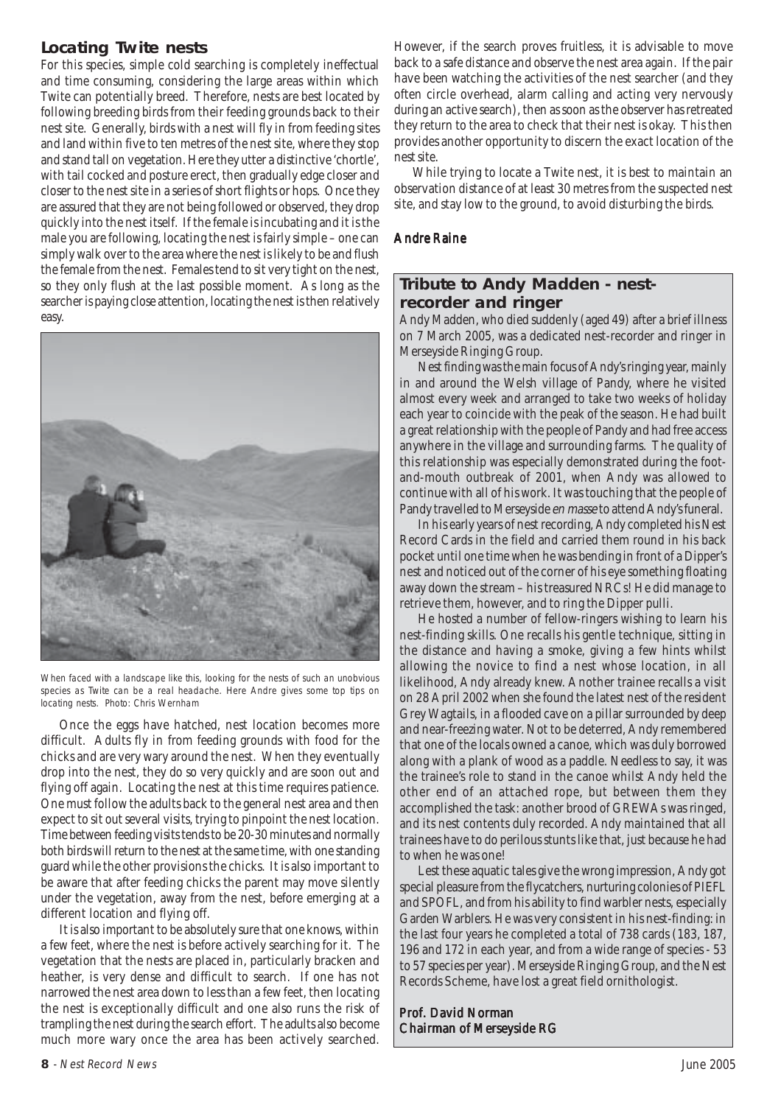# **Locating Twite nests**

For this species, simple cold searching is completely ineffectual and time consuming, considering the large areas within which Twite can potentially breed. Therefore, nests are best located by following breeding birds from their feeding grounds back to their nest site. Generally, birds with a nest will fly in from feeding sites and land within five to ten metres of the nest site, where they stop and stand tall on vegetation. Here they utter a distinctive 'chortle', with tail cocked and posture erect, then gradually edge closer and closer to the nest site in a series of short flights or hops. Once they are assured that they are not being followed or observed, they drop quickly into the nest itself. If the female is incubating and it is the male you are following, locating the nest is fairly simple – one can simply walk over to the area where the nest is likely to be and flush the female from the nest. Females tend to sit very tight on the nest, so they only flush at the last possible moment. As long as the searcher is paying close attention, locating the nest is then relatively easy.



When faced with a landscape like this, looking for the nests of such an unobvious species as Twite can be a real headache. Here Andre gives some top tips on locating nests. Photo: Chris Wernham

Once the eggs have hatched, nest location becomes more difficult. Adults fly in from feeding grounds with food for the chicks and are very wary around the nest. When they eventually drop into the nest, they do so very quickly and are soon out and flying off again. Locating the nest at this time requires patience. One must follow the adults back to the general nest area and then expect to sit out several visits, trying to pinpoint the nest location. Time between feeding visits tends to be 20-30 minutes and normally both birds will return to the nest at the same time, with one standing guard while the other provisions the chicks. It is also important to be aware that after feeding chicks the parent may move silently under the vegetation, away from the nest, before emerging at a different location and flying off.

It is also important to be absolutely sure that one knows, within a few feet, where the nest is before actively searching for it. The vegetation that the nests are placed in, particularly bracken and heather, is very dense and difficult to search. If one has not narrowed the nest area down to less than a few feet, then locating the nest is exceptionally difficult and one also runs the risk of trampling the nest during the search effort. The adults also become much more wary once the area has been actively searched.

However, if the search proves fruitless, it is advisable to move back to a safe distance and observe the nest area again. If the pair have been watching the activities of the nest searcher (and they often circle overhead, alarm calling and acting very nervously during an active search), then as soon as the observer has retreated they return to the area to check that their nest is okay. This then provides another opportunity to discern the exact location of the nest site.

While trying to locate a Twite nest, it is best to maintain an observation distance of at least 30 metres from the suspected nest site, and stay low to the ground, to avoid disturbing the birds.

#### Andre Raine

### **Tribute to Andy Madden - nestrecorder and ringer**

Andy Madden, who died suddenly (aged 49) after a brief illness on 7 March 2005, was a dedicated nest-recorder and ringer in Merseyside Ringing Group.

Nest finding was the main focus of Andy's ringing year, mainly in and around the Welsh village of Pandy, where he visited almost every week and arranged to take two weeks of holiday each year to coincide with the peak of the season. He had built a great relationship with the people of Pandy and had free access anywhere in the village and surrounding farms. The quality of this relationship was especially demonstrated during the footand-mouth outbreak of 2001, when Andy was allowed to continue with all of his work. It was touching that the people of Pandy travelled to Merseyside en masse to attend Andy's funeral.

In his early years of nest recording, Andy completed his Nest Record Cards in the field and carried them round in his back pocket until one time when he was bending in front of a Dipper's nest and noticed out of the corner of his eye something floating away down the stream – his treasured NRCs! He did manage to retrieve them, however, and to ring the Dipper pulli.

He hosted a number of fellow-ringers wishing to learn his nest-finding skills. One recalls his gentle technique, sitting in the distance and having a smoke, giving a few hints whilst allowing the novice to find a nest whose location, in all likelihood, Andy already knew. Another trainee recalls a visit on 28 April 2002 when she found the latest nest of the resident Grey Wagtails, in a flooded cave on a pillar surrounded by deep and near-freezing water. Not to be deterred, Andy remembered that one of the locals owned a canoe, which was duly borrowed along with a plank of wood as a paddle. Needless to say, it was the trainee's role to stand in the canoe whilst Andy held the other end of an attached rope, but between them they accomplished the task: another brood of GREWAs was ringed, and its nest contents duly recorded. Andy maintained that all trainees have to do perilous stunts like that, just because he had to when he was one!

Lest these aquatic tales give the wrong impression, Andy got special pleasure from the flycatchers, nurturing colonies of PIEFL and SPOFL, and from his ability to find warbler nests, especially Garden Warblers. He was very consistent in his nest-finding: in the last four years he completed a total of 738 cards (183, 187, 196 and 172 in each year, and from a wide range of species - 53 to 57 species per year). Merseyside Ringing Group, and the Nest Records Scheme, have lost a great field ornithologist.

Prof. David Norman Chairman of Merseyside RG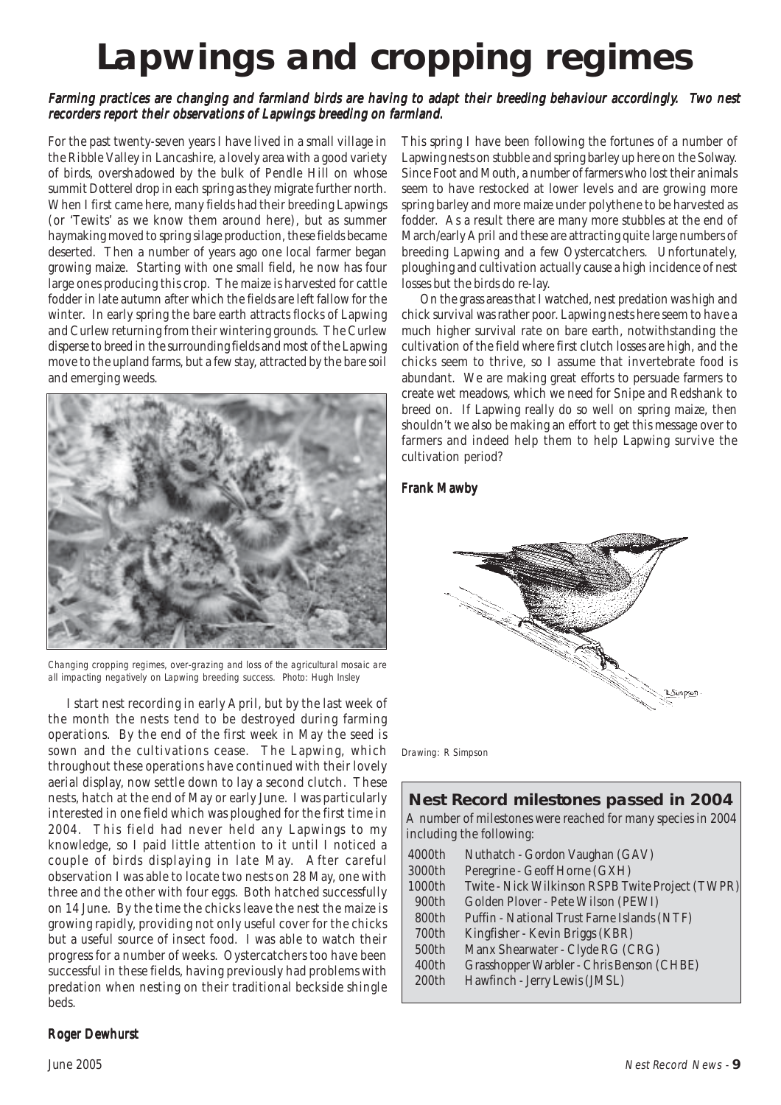# **Lapwings and cropping regimes**

#### Farming practices are changing and farmland birds are having to adapt their breeding behaviour accordingly. Two nest recorders report their observations of Lapwings breeding on farmland.

For the past twenty-seven years I have lived in a small village in the Ribble Valley in Lancashire, a lovely area with a good variety of birds, overshadowed by the bulk of Pendle Hill on whose summit Dotterel drop in each spring as they migrate further north. When I first came here, many fields had their breeding Lapwings (or 'Tewits' as we know them around here), but as summer haymaking moved to spring silage production, these fields became deserted. Then a number of years ago one local farmer began growing maize. Starting with one small field, he now has four large ones producing this crop. The maize is harvested for cattle fodder in late autumn after which the fields are left fallow for the winter. In early spring the bare earth attracts flocks of Lapwing and Curlew returning from their wintering grounds. The Curlew disperse to breed in the surrounding fields and most of the Lapwing move to the upland farms, but a few stay, attracted by the bare soil and emerging weeds.



Changing cropping regimes, over-grazing and loss of the agricultural mosaic are all impacting negatively on Lapwing breeding success. Photo: Hugh Insley

I start nest recording in early April, but by the last week of the month the nests tend to be destroyed during farming operations. By the end of the first week in May the seed is sown and the cultivations cease. The Lapwing, which throughout these operations have continued with their lovely aerial display, now settle down to lay a second clutch. These nests, hatch at the end of May or early June. I was particularly interested in one field which was ploughed for the first time in 2004. This field had never held any Lapwings to my knowledge, so I paid little attention to it until I noticed a couple of birds displaying in late May. After careful observation I was able to locate two nests on 28 May, one with three and the other with four eggs. Both hatched successfully on 14 June. By the time the chicks leave the nest the maize is growing rapidly, providing not only useful cover for the chicks but a useful source of insect food. I was able to watch their progress for a number of weeks. Oystercatchers too have been successful in these fields, having previously had problems with predation when nesting on their traditional beckside shingle beds.

#### **Roger Dewhurst**

This spring I have been following the fortunes of a number of Lapwing nests on stubble and spring barley up here on the Solway. Since Foot and Mouth, a number of farmers who lost their animals seem to have restocked at lower levels and are growing more spring barley and more maize under polythene to be harvested as fodder. As a result there are many more stubbles at the end of March/early April and these are attracting quite large numbers of breeding Lapwing and a few Oystercatchers. Unfortunately, ploughing and cultivation actually cause a high incidence of nest losses but the birds do re-lay.

On the grass areas that I watched, nest predation was high and chick survival was rather poor. Lapwing nests here seem to have a much higher survival rate on bare earth, notwithstanding the cultivation of the field where first clutch losses are high, and the chicks seem to thrive, so I assume that invertebrate food is abundant. We are making great efforts to persuade farmers to create wet meadows, which we need for Snipe and Redshank to breed on. If Lapwing really do so well on spring maize, then shouldn't we also be making an effort to get this message over to farmers and indeed help them to help Lapwing survive the cultivation period?

#### Frank Mawby



Drawing: R Simpson

# **Nest Record milestones passed in 2004**

A number of milestones were reached for many species in 2004 including the following:

| 4000th | Nuthatch - Gordon Vaughan (GAV)                  |  |
|--------|--------------------------------------------------|--|
| 3000th | Peregrine - Geoff Horne (GXH)                    |  |
| 1000th | Twite - Nick Wilkinson RSPB Twite Project (TWPR) |  |
| 900th  | Golden Plover - Pete Wilson (PEWI)               |  |
| 800th  | Puffin - National Trust Farne Islands (NTF)      |  |
| 700th  | Kingfisher - Kevin Briggs (KBR)                  |  |
| 500th  | Manx Shearwater - Clyde RG (CRG)                 |  |
| 400th  | Grasshopper Warbler - Chris Benson (CHBE)        |  |
| 200th  | Hawfinch - Jerry Lewis (JMSL)                    |  |
|        |                                                  |  |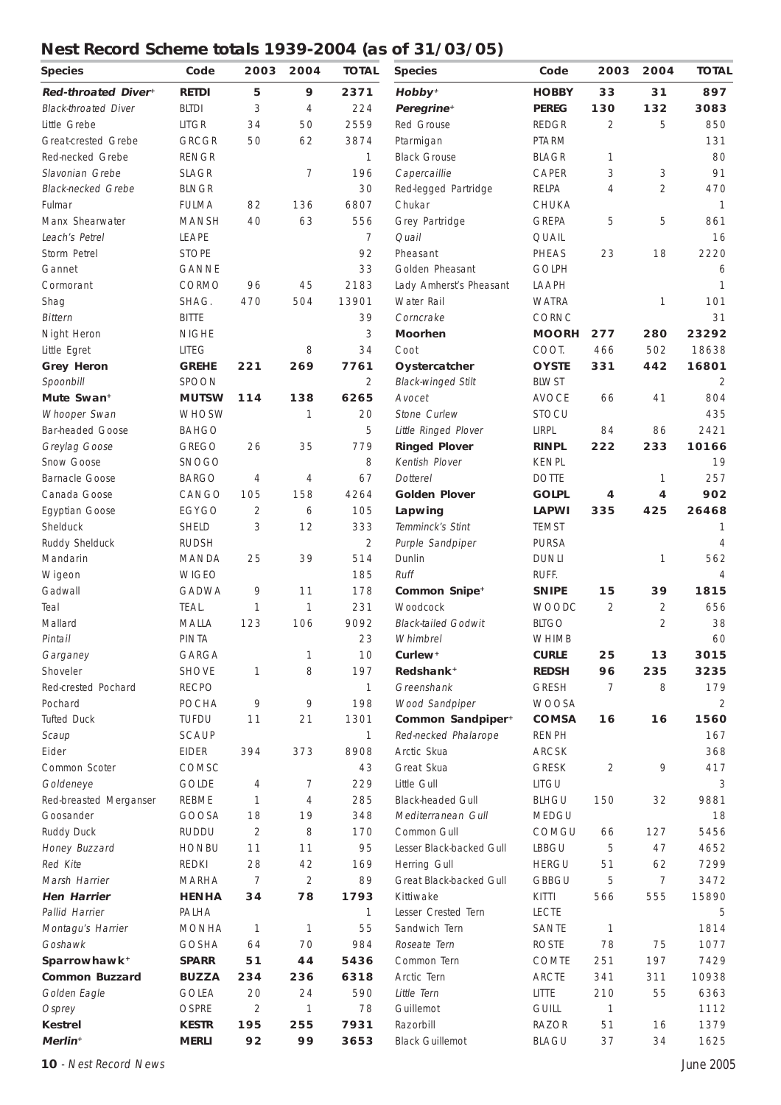# **Nest Record Scheme totals 1939-2004 (as of 31/03/05)**

| <b>Species</b>              | Code           | 2003           | 2004           | <b>TOTAL</b>   | <b>Species</b>                         | Code                         | 2003           | 2004                             | <b>TOTAL</b>   |
|-----------------------------|----------------|----------------|----------------|----------------|----------------------------------------|------------------------------|----------------|----------------------------------|----------------|
| Red-throated Diver+         | <b>RETDI</b>   | 5              | 9              | 2371           | Hobby <sup>+</sup>                     | <b>HOBBY</b>                 | 33             | 31                               | 897            |
| <b>Black-throated Diver</b> | <b>BLTDI</b>   | 3              | $\overline{4}$ | 224            | Peregrine <sup>+</sup>                 | <b>PEREG</b>                 | 130            | 132                              | 3083           |
| Little Grebe                | <b>LITGR</b>   | 34             | 50             | 2559           | Red Grouse                             | <b>REDGR</b>                 | $\overline{2}$ | 5                                | 850            |
| Great-crested Grebe         | <b>GRCGR</b>   | 50             | 62             | 3874           | Ptarmigan                              | PTARM                        |                |                                  | 131            |
| Red-necked Grebe            | <b>RENGR</b>   |                |                | 1              | <b>Black Grouse</b>                    | <b>BLAGR</b>                 | 1              |                                  | 80             |
| Slavonian Grebe             | <b>SLAGR</b>   |                | 7              | 196            | Capercaillie                           | CAPER                        | 3              | 3                                | 91             |
| <b>Black-necked Grebe</b>   | <b>BLNGR</b>   |                |                | 30             | Red-legged Partridge                   | RELPA                        | 4              | $\overline{2}$                   | 470            |
| Fulmar                      | <b>FULMA</b>   | 82             | 136            | 6807           | Chukar                                 | CHUKA                        |                |                                  | $\mathbf{1}$   |
| Manx Shearwater             | <b>MANSH</b>   | 40             | 63             | 556            | Grey Partridge                         | <b>GREPA</b>                 | 5              | 5                                | 861            |
| Leach's Petrel              | LEAPE          |                |                | $\overline{7}$ | Quail                                  | QUAIL                        |                |                                  | 16             |
| Storm Petrel                | <b>STOPE</b>   |                |                | 92             | Pheasant                               | PHEAS                        | 23             | 18                               | 2220           |
| Gannet                      | <b>GANNE</b>   |                |                | 33             | Golden Pheasant                        | <b>GOLPH</b>                 |                |                                  | 6              |
| Cormorant                   | CORMO          | 96             | 45             | 2183           | Lady Amherst's Pheasant                | LAAPH                        |                |                                  | $\mathbf{1}$   |
| Shag                        | SHAG.          | 470            | 504            | 13901          | Water Rail                             | <b>WATRA</b>                 |                | 1                                | 101            |
| <b>Bittern</b>              | <b>BITTE</b>   |                |                | 39             | Corncrake                              | CORNC                        |                |                                  | 31             |
| Night Heron                 | <b>NIGHE</b>   |                |                | 3              | <b>Moorhen</b>                         | <b>MOORH</b>                 | 277            | 280                              | 23292          |
| Little Egret                | <b>LITEG</b>   |                | 8              | 34             | Coot                                   | COOT.                        | 466            | 502                              | 18638          |
| <b>Grey Heron</b>           | <b>GREHE</b>   | 221            | 269            | 7761           | Oystercatcher                          | <b>OYSTE</b>                 | 331            | 442                              | 16801          |
| Spoonbill                   | <b>SPOON</b>   |                |                | 2              | <b>Black-winged Stilt</b>              | <b>BLWST</b>                 |                |                                  | 2              |
| Mute Swan <sup>+</sup>      | <b>MUTSW</b>   | 114            | 138            | 6265           | Avocet                                 | <b>AVOCE</b>                 | 66             | 41                               | 804            |
| Whooper Swan                | <b>WHOSW</b>   |                | 1              | 20             | Stone Curlew                           | <b>STOCU</b>                 |                |                                  | 435            |
| <b>Bar-headed Goose</b>     | <b>BAHGO</b>   |                |                | 5              | Little Ringed Plover                   | LIRPL                        | 84             | 86                               | 2421           |
| Greylag Goose               | <b>GREGO</b>   | 26             | 35             | 779            | <b>Ringed Plover</b>                   | <b>RINPL</b>                 | 222            | 233                              | 10166          |
| Snow Goose                  | <b>SNOGO</b>   |                |                | 8              | Kentish Plover                         | <b>KENPL</b>                 |                |                                  | 19             |
| <b>Barnacle Goose</b>       | <b>BARGO</b>   | $\overline{4}$ | 4              | 67             | <b>Dotterel</b>                        | <b>DOTTE</b>                 |                | 1                                | 257            |
| Canada Goose                | CANGO          | 105            | 158            | 4264           | <b>Golden Plover</b>                   | <b>GOLPL</b>                 | 4              | 4                                | 902            |
|                             | EGYGO          | 2              | 6              | 105            |                                        | <b>LAPWI</b>                 | 335            | 425                              | 26468          |
| Egyptian Goose<br>Shelduck  | <b>SHELD</b>   | 3              | 12             | 333            | Lapwing<br>Temminck's Stint            | <b>TEMST</b>                 |                |                                  | 1              |
| Ruddy Shelduck              | <b>RUDSH</b>   |                |                | 2              | Purple Sandpiper                       | <b>PURSA</b>                 |                |                                  | $\overline{4}$ |
| Mandarin                    | MANDA          | 25             | 39             | 514            | Dunlin                                 | <b>DUNLI</b>                 |                |                                  | 562            |
|                             | <b>WIGEO</b>   |                |                | 185            | Ruff                                   | RUFF.                        |                | 1                                | $\overline{4}$ |
| Wigeon<br>Gadwall           | <b>GADWA</b>   | 9              | 11             | 178            |                                        | <b>SNIPE</b>                 | 15             | 39                               | 1815           |
|                             |                |                |                |                | Common Snipe <sup>+</sup>              |                              |                |                                  | 656            |
| Teal<br>Mallard             | TEAL.<br>MALLA | 1<br>123       | 1<br>106       | 231<br>9092    | Woodcock<br><b>Black-tailed Godwit</b> | <b>WOODC</b><br><b>BLTGO</b> | $\overline{2}$ | $\overline{2}$<br>$\overline{2}$ | 38             |
|                             | <b>PINTA</b>   |                |                | 23             |                                        | <b>WHIMB</b>                 |                |                                  | 60             |
| Pintail                     | GARGA          |                | 1              | 10             | Whimbrel<br>Curlew <sup>+</sup>        | <b>CURLE</b>                 | 25             | 13                               | 3015           |
| Garganey<br>Shoveler        | <b>SHOVE</b>   |                | 8              | 197            | Redshank <sup>+</sup>                  | <b>REDSH</b>                 | 96             | 235                              | 3235           |
|                             |                | 1              |                |                |                                        |                              |                |                                  |                |
| Red-crested Pochard         | <b>RECPO</b>   |                |                | $\mathbf{1}$   | Greenshank                             | <b>GRESH</b>                 | 7              | 8                                | 179            |
| Pochard                     | <b>POCHA</b>   | 9              | 9              | 198            | Wood Sandpiper                         | <b>WOOSA</b><br><b>COMSA</b> |                |                                  | 2              |
| <b>Tufted Duck</b>          | <b>TUFDU</b>   | 11             | 21             | 1301           | Common Sandpiper <sup>+</sup>          |                              | 16             | 16                               | 1560           |
| Scaup                       | SCAUP          |                |                | $\mathbf{1}$   | Red-necked Phalarope                   | <b>RENPH</b>                 |                |                                  | 167            |
| Eider                       | <b>EIDER</b>   | 394            | 373            | 8908           | Arctic Skua                            | ARCSK                        |                |                                  | 368            |
| Common Scoter               | COMSC          |                |                | 43             | Great Skua                             | <b>GRESK</b>                 | 2              | 9                                | 417            |
| Goldeneye                   | <b>GOLDE</b>   | 4              | 7              | 229            | Little Gull                            | LITGU                        |                |                                  | 3              |
| Red-breasted Merganser      | REBME          | 1              | 4              | 285            | <b>Black-headed Gull</b>               | <b>BLHGU</b>                 | 150            | 32                               | 9881           |
| Goosander                   | GOOSA          | 18             | 19             | 348            | Mediterranean Gull                     | MEDGU                        |                |                                  | 18             |
| Ruddy Duck                  | <b>RUDDU</b>   | 2              | 8              | 170            | Common Gull                            | COMGU                        | 66             | 127                              | 5456           |
| Honey Buzzard               | <b>HONBU</b>   | 11             | 11             | 95             | Lesser Black-backed Gull               | <b>LBBGU</b>                 | 5              | 47                               | 4652           |
| Red Kite                    | <b>REDKI</b>   | 28             | 42             | 169            | Herring Gull                           | <b>HERGU</b>                 | 51             | 62                               | 7299           |
| Marsh Harrier               | <b>MARHA</b>   | 7              | $\overline{2}$ | 89             | Great Black-backed Gull                | <b>GBBGU</b>                 | 5              | 7                                | 3472           |
| <b>Hen Harrier</b>          | <b>HENHA</b>   | 34             | 78             | 1793           | Kittiwake                              | KITTI                        | 566            | 555                              | 15890          |
| Pallid Harrier              | PALHA          |                |                | $\mathbf{1}$   | Lesser Crested Tern                    | <b>LECTE</b>                 |                |                                  | 5              |
| Montagu's Harrier           | <b>MONHA</b>   | 1              | 1              | 55             | Sandwich Tern                          | SANTE                        | 1              |                                  | 1814           |
| Goshawk                     | <b>GOSHA</b>   | 64             | 70             | 984            | Roseate Tern                           | <b>ROSTE</b>                 | 78             | 75                               | 1077           |
| Sparrowhawk <sup>+</sup>    | <b>SPARR</b>   | 51             | 44             | 5436           | Common Tern                            | <b>COMTE</b>                 | 251            | 197                              | 7429           |
| <b>Common Buzzard</b>       | <b>BUZZA</b>   | 234            | 236            | 6318           | Arctic Tern                            | <b>ARCTE</b>                 | 341            | 311                              | 10938          |
| Golden Eagle                | <b>GOLEA</b>   | 20             | 24             | 590            | Little Tern                            | LITTE                        | 210            | 55                               | 6363           |
| Osprey                      | <b>OSPRE</b>   | $\overline{2}$ | 1              | 78             | Guillemot                              | <b>GUILL</b>                 | $\mathbf{1}$   |                                  | 1112           |
| <b>Kestrel</b>              | <b>KESTR</b>   | 195            | 255            | 7931           | Razorbill                              | <b>RAZOR</b>                 | 51             | 16                               | 1379           |
| Merlin <sup>+</sup>         | <b>MERLI</b>   | 92             | 99             | 3653           | <b>Black Guillemot</b>                 | <b>BLAGU</b>                 | 37             | 34                               | 1625           |

**10** - Nest Record News June 2005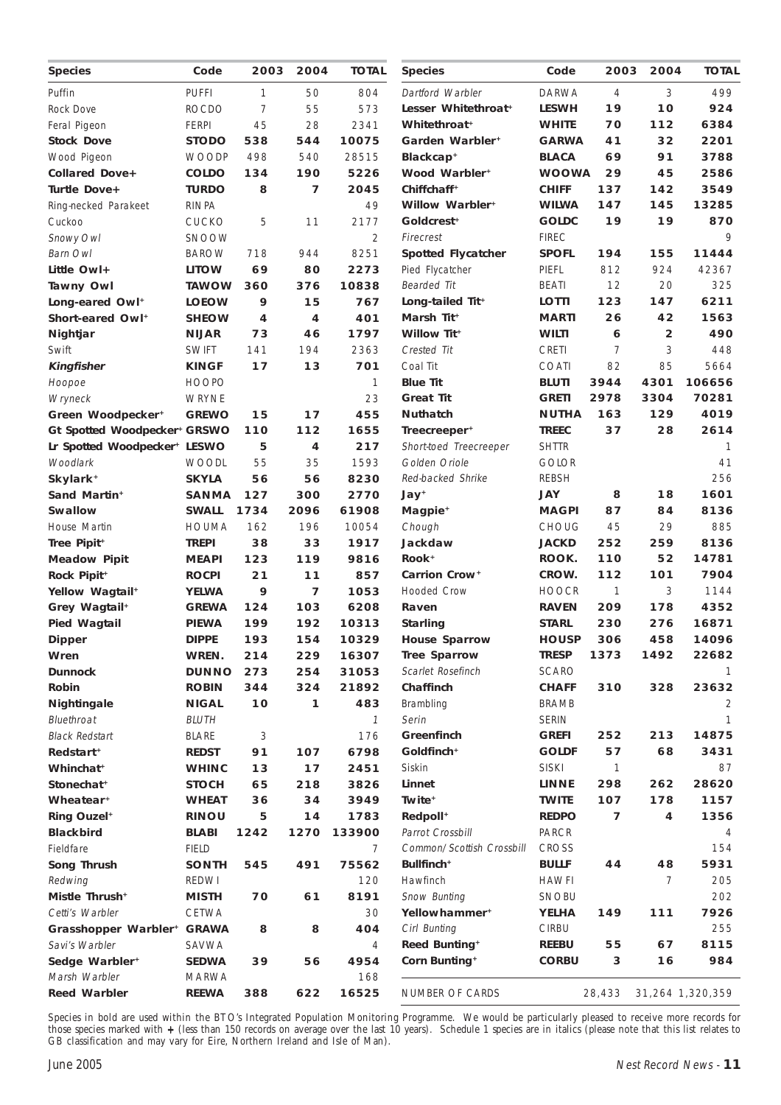| Species                                     | Code                         | 2003 | 2004 | <b>TOTAL</b>  | <b>Species</b>              | Code                         | 2003           | 2004           | <b>TOTAL</b>     |
|---------------------------------------------|------------------------------|------|------|---------------|-----------------------------|------------------------------|----------------|----------------|------------------|
| Puffin                                      | <b>PUFFI</b>                 | 1    | 50   | 804           | Dartford Warbler            | <b>DARWA</b>                 | $\overline{4}$ | 3              | 499              |
| Rock Dove                                   | <b>ROCDO</b>                 | 7    | 55   | 573           | Lesser Whitethroat+         | <b>LESWH</b>                 | 19             | 10             | 924              |
| Feral Pigeon                                | <b>FERPI</b>                 | 45   | 28   | 2341          | Whitethroat <sup>+</sup>    | <b>WHITE</b>                 | 70             | 112            | 6384             |
| <b>Stock Dove</b>                           | STODO                        | 538  | 544  | 10075         | Garden Warbler <sup>+</sup> | <b>GARWA</b>                 | 41             | 32             | 2201             |
| Wood Pigeon                                 | <b>WOODP</b>                 | 498  | 540  | 28515         | Blackcap <sup>+</sup>       | <b>BLACA</b>                 | 69             | 91             | 3788             |
| <b>Collared Dove+</b>                       | <b>COLDO</b>                 | 134  | 190  | 5226          | Wood Warbler <sup>+</sup>   | <b>WOOWA</b>                 | 29             | 45             | 2586             |
| Turtle Dove+                                | <b>TURDO</b>                 | 8    | 7    | 2045          | Chiffchaff <sup>+</sup>     | <b>CHIFF</b>                 | 137            | 142            | 3549             |
| Ring-necked Parakeet                        | <b>RINPA</b>                 |      |      | 49            | Willow Warbler <sup>+</sup> | <b>WILWA</b>                 | 147            | 145            | 13285            |
| Cuckoo                                      | <b>CUCKO</b>                 | 5    | 11   | 2177          | Goldcrest <sup>+</sup>      | <b>GOLDC</b>                 | 19             | 19             | 870              |
| Snowy Owl                                   | <b>SNOOW</b>                 |      |      | 2             | Firecrest                   | <b>FIREC</b>                 |                |                | 9                |
| Barn Owl                                    | <b>BAROW</b>                 | 718  | 944  | 8251          | <b>Spotted Flycatcher</b>   | <b>SPOFL</b>                 | 194            | 155            | 11444            |
| Little Owl+                                 | <b>LITOW</b>                 | 69   | 80   | 2273          | Pied Flycatcher             | PIEFL                        | 812            | 924            | 42367            |
| <b>Tawny Owl</b>                            | <b>TAWOW</b>                 | 360  | 376  | 10838         | <b>Bearded Tit</b>          | <b>BEATI</b>                 | 12             | 20             | 325              |
| Long-eared Owl <sup>+</sup>                 | <b>LOEOW</b>                 | 9    | 15   | 767           | Long-tailed Tit+            | <b>LOTTI</b>                 | 123            | 147            | 6211             |
| Short-eared Owl <sup>+</sup>                | <b>SHEOW</b>                 | 4    | 4    | 401           | Marsh Tit+                  | <b>MARTI</b>                 | 26             | 42             | 1563             |
| Nightjar                                    | <b>NIJAR</b>                 | 73   | 46   | 1797          | <b>Willow Tit+</b>          | WILTI                        | 6              | $\overline{2}$ | 490              |
| Swift                                       | <b>SWIFT</b>                 | 141  | 194  | 2363          | Crested Tit                 | CRETI                        | 7              | 3              | 448              |
| <b>Kingfisher</b>                           | <b>KINGF</b>                 | 17   | 13   | 701           | Coal Tit                    | COATI                        | 82             | 85             | 5664             |
| Hoopoe                                      | <b>HOOPO</b>                 |      |      | 1             | <b>Blue Tit</b>             | <b>BLUTI</b>                 | 3944           | 4301           | 106656           |
| Wryneck                                     | WRYNE                        |      |      | 23            | <b>Great Tit</b>            | <b>GRETI</b>                 | 2978           | 3304           | 70281            |
| Green Woodpecker <sup>+</sup>               | <b>GREWO</b>                 | 15   | 17   | 455           | <b>Nuthatch</b>             | <b>NUTHA</b>                 | 163            | 129            | 4019             |
| Gt Spotted Woodpecker+ GRSWO                |                              | 110  | 112  | 1655          | Treecreeper <sup>+</sup>    | <b>TREEC</b>                 | 37             | 28             | 2614             |
| Lr Spotted Woodpecker+ LESWO                |                              | 5    | 4    | 217           | Short-toed Treecreeper      | <b>SHTTR</b>                 |                |                | 1                |
| Woodlark                                    | <b>WOODL</b>                 | 55   | 35   | 1593          | Golden Oriole               | <b>GOLOR</b>                 |                |                | 41               |
| Skylark <sup>+</sup>                        | <b>SKYLA</b>                 | 56   | 56   | 8230          | Red-backed Shrike           | <b>REBSH</b>                 |                |                | 256              |
| Sand Martin <sup>+</sup>                    | <b>SANMA</b>                 | 127  | 300  | 2770          | Jay*                        | JAY                          | 8              | 18             | 1601             |
| <b>Swallow</b>                              | <b>SWALL</b>                 | 1734 | 2096 | 61908         | Magpie <sup>+</sup>         | <b>MAGPI</b>                 | 87             | 84             | 8136             |
| House Martin                                | HOUMA                        | 162  | 196  | 10054         | Chough                      | <b>CHOUG</b>                 | 45             | 29             | 885              |
| Tree Pipit <sup>+</sup>                     | <b>TREPI</b>                 | 38   | 33   | 1917          | Jackdaw                     | <b>JACKD</b>                 | 252            | 259            | 8136             |
| <b>Meadow Pipit</b>                         | <b>MEAPI</b>                 | 123  | 119  | 9816          | Rook <sup>+</sup>           | ROOK.                        | 110            | 52             | 14781            |
| Rock Pipit <sup>+</sup>                     | <b>ROCPI</b>                 | 21   | 11   | 857           | Carrion Crow <sup>+</sup>   | CROW.                        | 112            | 101            | 7904             |
| Yellow Wagtail <sup>+</sup>                 | <b>YELWA</b>                 | 9    | 7    | 1053          | <b>Hooded Crow</b>          | <b>HOOCR</b>                 | 1              | 3              | 1144             |
| Grey Wagtail <sup>+</sup>                   | <b>GREWA</b>                 | 124  | 103  | 6208          | Raven                       | <b>RAVEN</b>                 | 209            | 178            | 4352             |
| <b>Pied Wagtail</b>                         | <b>PIEWA</b>                 | 199  | 192  | 10313         | <b>Starling</b>             | <b>STARL</b>                 | 230            | 276            | 16871            |
| <b>Dipper</b>                               | <b>DIPPE</b>                 | 193  | 154  | 10329         | <b>House Sparrow</b>        | <b>HOUSP</b>                 | 306            | 458            | 14096            |
| Wren                                        | WREN.                        | 214  | 229  | 16307         | <b>Tree Sparrow</b>         | <b>TRESP</b>                 | 1373           | 1492           | 22682            |
| <b>Dunnock</b>                              | <b>DUNNO</b>                 | 273  | 254  | 31053         | Scarlet Rosefinch           | <b>SCARO</b>                 |                |                | 1                |
| Robin                                       | <b>ROBIN</b>                 | 344  | 324  | 21892         | Chaffinch                   | <b>CHAFF</b>                 | 310            | 328            | 23632            |
| <b>Nightingale</b>                          | <b>NIGAL</b>                 | 10   | 1    | 483           | Brambling                   | BRAMB                        |                |                | 2                |
| Bluethroat                                  | <b>BLUTH</b>                 |      |      | $\mathcal{I}$ | Serin                       | <b>SERIN</b>                 |                |                | 1                |
| <b>Black Redstart</b>                       | <b>BLARE</b>                 | 3    |      | 176           | Greenfinch                  | GREFI                        | 252            | 213            | 14875            |
| Redstart <sup>+</sup>                       | <b>REDST</b>                 | 91   | 107  | 6798          | Goldfinch <sup>+</sup>      | <b>GOLDF</b>                 | 57             | 68             | 3431             |
| Whinchat <sup>+</sup>                       | <b>WHINC</b>                 | 13   | 17   | 2451          | Siskin                      | <b>SISKI</b>                 | 1              |                | 87               |
| Stonechat <sup>+</sup>                      | <b>STOCH</b>                 | 65   | 218  | 3826          | Linnet                      | <b>LINNE</b>                 | 298            | 262            | 28620            |
| Wheatear <sup>+</sup>                       | <b>WHEAT</b>                 | 36   | 34   | 3949          | Twite <sup>+</sup>          | <b>TWITE</b>                 | 107            | 178            | 1157             |
| <b>Ring Ouzel<sup>+</sup></b>               | <b>RINOU</b>                 | 5    | 14   | 1783          | Redpoll <sup>+</sup>        | <b>REDPO</b>                 | 7              | 4              | 1356             |
| <b>Blackbird</b>                            | <b>BLABI</b>                 | 1242 | 1270 | 133900        | Parrot Crossbill            | PARCR                        |                |                | 4                |
| Fieldfare                                   | <b>FIELD</b>                 |      |      | 7             | Common/Scottish Crossbill   | <b>CROSS</b>                 |                |                | 154              |
| Song Thrush                                 | <b>SONTH</b>                 | 545  | 491  | 75562         | Bullfinch <sup>+</sup>      | <b>BULLF</b>                 | 44             | 48             | 5931             |
| Redwing                                     | REDWI                        |      |      | 120           | Hawfinch                    | <b>HAWFI</b>                 |                | 7              | 205              |
| Mistle Thrush <sup>+</sup>                  | <b>MISTH</b>                 | 70   | 61   | 8191          | Snow Bunting                | <b>SNOBU</b>                 |                |                | 202              |
| Cetti's Warbler                             | CETWA                        |      |      | 30            | Yellowhammer <sup>+</sup>   | YELHA                        | 149            | 111            | 7926             |
| Grasshopper Warbler+                        | <b>GRAWA</b>                 | 8    | 8    | 404           | Cirl Bunting                | <b>CIRBU</b>                 |                |                | 255              |
| Savi's Warbler                              | SAVWA                        |      |      | 4             | <b>Reed Bunting*</b>        | <b>REEBU</b><br><b>CORBU</b> | 55<br>3        | 67<br>16       | 8115<br>984      |
| Sedge Warbler <sup>+</sup><br>Marsh Warbler | <b>SEDWA</b><br><b>MARWA</b> | 39   | 56   | 4954<br>168   | Corn Bunting <sup>+</sup>   |                              |                |                |                  |
| <b>Reed Warbler</b>                         |                              | 388  | 622  |               | NUMBER OF CARDS             |                              | 28,433         |                | 31,264 1,320,359 |
|                                             | <b>REEWA</b>                 |      |      | 16525         |                             |                              |                |                |                  |

Species in bold are used within the BTO's Integrated Population Monitoring Programme. We would be particularly pleased to receive more records for those species marked with + (less than 150 records on average over the last 10 years). Schedule 1 species are in italics (please note that this list relates to GB classification and may vary for Eire, Northern Ireland and Isle of Man).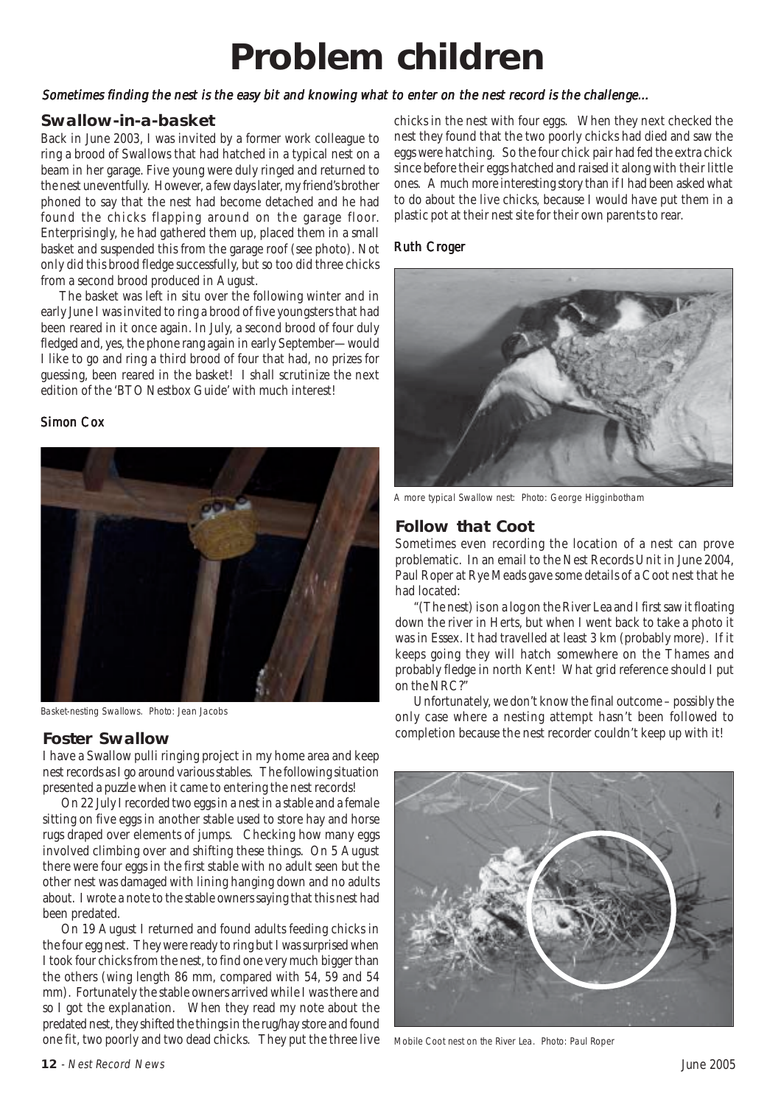# **Problem children**

#### Sometimes finding the nest is the easy bit and knowing what to enter on the nest record is the challenge...

#### **Swallow-in-a-basket**

Back in June 2003, I was invited by a former work colleague to ring a brood of Swallows that had hatched in a typical nest on a beam in her garage. Five young were duly ringed and returned to the nest uneventfully. However, a few days later, my friend's brother phoned to say that the nest had become detached and he had found the chicks flapping around on the garage floor. Enterprisingly, he had gathered them up, placed them in a small basket and suspended this from the garage roof (see photo). Not only did this brood fledge successfully, but so too did three chicks from a second brood produced in August.

The basket was left in situ over the following winter and in early June I was invited to ring a brood of five youngsters that had been reared in it once again. In July, a second brood of four duly fledged and, yes, the phone rang again in early September—would I like to go and ring a third brood of four that had, no prizes for guessing, been reared in the basket! I shall scrutinize the next edition of the 'BTO Nestbox Guide' with much interest!

#### Simon Cox



Basket-nesting Swallows. Photo: Jean Jacobs

#### **Foster Swallow**

I have a Swallow pulli ringing project in my home area and keep nest records as I go around various stables. The following situation presented a puzzle when it came to entering the nest records!

On 22 July I recorded two eggs in a nest in a stable and a female sitting on five eggs in another stable used to store hay and horse rugs draped over elements of jumps. Checking how many eggs involved climbing over and shifting these things. On 5 August there were four eggs in the first stable with no adult seen but the other nest was damaged with lining hanging down and no adults about. I wrote a note to the stable owners saying that this nest had been predated.

On 19 August I returned and found adults feeding chicks in the four egg nest. They were ready to ring but I was surprised when I took four chicks from the nest, to find one very much bigger than the others (wing length 86 mm, compared with 54, 59 and 54 mm). Fortunately the stable owners arrived while I was there and so I got the explanation. When they read my note about the predated nest, they shifted the things in the rug/hay store and found one fit, two poorly and two dead chicks. They put the three live chicks in the nest with four eggs. When they next checked the nest they found that the two poorly chicks had died and saw the eggs were hatching. So the four chick pair had fed the extra chick since before their eggs hatched and raised it along with their little ones. A much more interesting story than if I had been asked what to do about the live chicks, because I would have put them in a plastic pot at their nest site for their own parents to rear.

#### **Ruth Croger**



A more typical Swallow nest: Photo: George Higginbotham

#### **Follow that Coot**

Sometimes even recording the location of a nest can prove problematic. In an email to the Nest Records Unit in June 2004, Paul Roper at Rye Meads gave some details of a Coot nest that he had located:

"(The nest) is on a log on the River Lea and I first saw it floating down the river in Herts, but when I went back to take a photo it was in Essex. It had travelled at least 3 km (probably more). If it keeps going they will hatch somewhere on the Thames and probably fledge in north Kent! What grid reference should I put on the NRC?"

Unfortunately, we don't know the final outcome – possibly the only case where a nesting attempt hasn't been followed to completion because the nest recorder couldn't keep up with it!



Mobile Coot nest on the River Lea. Photo: Paul Roper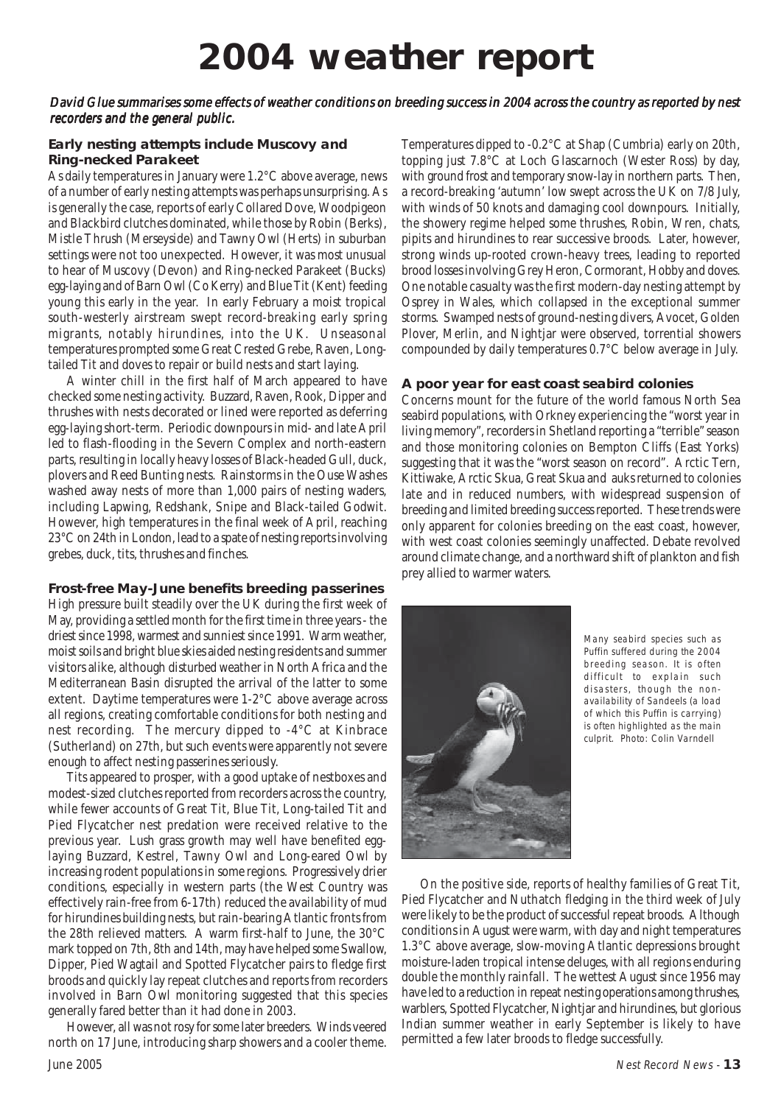# **2004 weather report**

#### David Glue summarises some effects of weather conditions on breeding success in 2004 across the country as reported by nest recorders and the general public.

#### **Early nesting attempts include Muscovy and Ring-necked Parakeet**

As daily temperatures in January were 1.2°C above average, news of a number of early nesting attempts was perhaps unsurprising. As is generally the case, reports of early Collared Dove, Woodpigeon and Blackbird clutches dominated, while those by Robin (Berks), Mistle Thrush (Merseyside) and Tawny Owl (Herts) in suburban settings were not too unexpected. However, it was most unusual to hear of Muscovy (Devon) and Ring-necked Parakeet (Bucks) egg-laying and of Barn Owl (Co Kerry) and Blue Tit (Kent) feeding young this early in the year. In early February a moist tropical south-westerly airstream swept record-breaking early spring migrants, notably hirundines, into the UK. Unseasonal temperatures prompted some Great Crested Grebe, Raven, Longtailed Tit and doves to repair or build nests and start laying.

A winter chill in the first half of March appeared to have checked some nesting activity. Buzzard, Raven, Rook, Dipper and thrushes with nests decorated or lined were reported as deferring egg-laying short-term. Periodic downpours in mid- and late April led to flash-flooding in the Severn Complex and north-eastern parts, resulting in locally heavy losses of Black-headed Gull, duck, plovers and Reed Bunting nests. Rainstorms in the Ouse Washes washed away nests of more than 1,000 pairs of nesting waders, including Lapwing, Redshank, Snipe and Black-tailed Godwit. However, high temperatures in the final week of April, reaching 23°C on 24th in London, lead to a spate of nesting reports involving grebes, duck, tits, thrushes and finches.

#### **Frost-free May-June benefits breeding passerines**

High pressure built steadily over the UK during the first week of May, providing a settled month for the first time in three years - the driest since 1998, warmest and sunniest since 1991. Warm weather, moist soils and bright blue skies aided nesting residents and summer visitors alike, although disturbed weather in North Africa and the Mediterranean Basin disrupted the arrival of the latter to some extent. Daytime temperatures were 1-2°C above average across all regions, creating comfortable conditions for both nesting and nest recording. The mercury dipped to -4°C at Kinbrace (Sutherland) on 27th, but such events were apparently not severe enough to affect nesting passerines seriously.

Tits appeared to prosper, with a good uptake of nestboxes and modest-sized clutches reported from recorders across the country, while fewer accounts of Great Tit, Blue Tit, Long-tailed Tit and Pied Flycatcher nest predation were received relative to the previous year. Lush grass growth may well have benefited egglaying Buzzard, Kestrel, Tawny Owl and Long-eared Owl by increasing rodent populations in some regions. Progressively drier conditions, especially in western parts (the West Country was effectively rain-free from 6-17th) reduced the availability of mud for hirundines building nests, but rain-bearing Atlantic fronts from the 28th relieved matters. A warm first-half to June, the 30°C mark topped on 7th, 8th and 14th, may have helped some Swallow, Dipper, Pied Wagtail and Spotted Flycatcher pairs to fledge first broods and quickly lay repeat clutches and reports from recorders involved in Barn Owl monitoring suggested that this species generally fared better than it had done in 2003.

However, all was not rosy for some later breeders. Winds veered north on 17 June, introducing sharp showers and a cooler theme.

Temperatures dipped to -0.2°C at Shap (Cumbria) early on 20th, topping just 7.8°C at Loch Glascarnoch (Wester Ross) by day, with ground frost and temporary snow-lay in northern parts. Then, a record-breaking 'autumn' low swept across the UK on 7/8 July, with winds of 50 knots and damaging cool downpours. Initially, the showery regime helped some thrushes, Robin, Wren, chats, pipits and hirundines to rear successive broods. Later, however, strong winds up-rooted crown-heavy trees, leading to reported brood losses involving Grey Heron, Cormorant, Hobby and doves. One notable casualty was the first modern-day nesting attempt by Osprey in Wales, which collapsed in the exceptional summer storms. Swamped nests of ground-nesting divers, Avocet, Golden Plover, Merlin, and Nightjar were observed, torrential showers compounded by daily temperatures 0.7°C below average in July.

#### **A poor year for east coast seabird colonies**

Concerns mount for the future of the world famous North Sea seabird populations, with Orkney experiencing the "worst year in living memory", recorders in Shetland reporting a "terrible" season and those monitoring colonies on Bempton Cliffs (East Yorks) suggesting that it was the "worst season on record". Arctic Tern, Kittiwake, Arctic Skua, Great Skua and auks returned to colonies late and in reduced numbers, with widespread suspension of breeding and limited breeding success reported. These trends were only apparent for colonies breeding on the east coast, however, with west coast colonies seemingly unaffected. Debate revolved around climate change, and a northward shift of plankton and fish prey allied to warmer waters.



Many seabird species such as Puffin suffered during the 2004 breeding season. It is often difficult to explain such disasters, though the nonavailability of Sandeels (a load of which this Puffin is carrying) is often highlighted as the main culprit. Photo: Colin Varndell

On the positive side, reports of healthy families of Great Tit, Pied Flycatcher and Nuthatch fledging in the third week of July were likely to be the product of successful repeat broods. Although conditions in August were warm, with day and night temperatures 1.3°C above average, slow-moving Atlantic depressions brought moisture-laden tropical intense deluges, with all regions enduring double the monthly rainfall. The wettest August since 1956 may have led to a reduction in repeat nesting operations among thrushes, warblers, Spotted Flycatcher, Nightjar and hirundines, but glorious Indian summer weather in early September is likely to have permitted a few later broods to fledge successfully.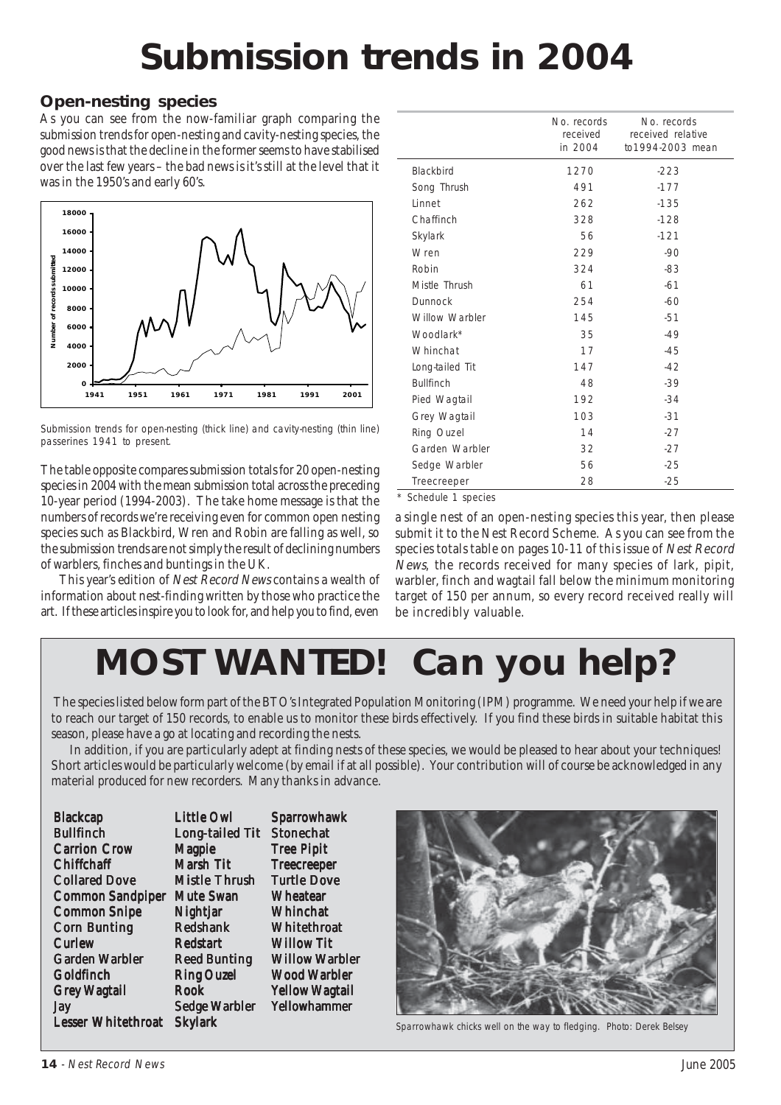# **Submission trends in 2004**

# **Open-nesting species**

As you can see from the now-familiar graph comparing the submission trends for open-nesting and cavity-nesting species, the good news is that the decline in the former seems to have stabilised over the last few years – the bad news is it's still at the level that it was in the 1950's and early 60's.



Submission trends for open-nesting (thick line) and cavity-nesting (thin line) passerines 1941 to present.

The table opposite compares submission totals for 20 open-nesting species in 2004 with the mean submission total across the preceding 10-year period (1994-2003). The take home message is that the numbers of records we're receiving even for common open nesting species such as Blackbird, Wren and Robin are falling as well, so the submission trends are not simply the result of declining numbers of warblers, finches and buntings in the UK.

This year's edition of Nest Record News contains a wealth of information about nest-finding written by those who practice the art. If these articles inspire you to look for, and help you to find, even

|                  | No. records<br>received<br>in 2004 | No. records<br>received relative<br>to1994-2003 mean |
|------------------|------------------------------------|------------------------------------------------------|
| <b>Blackbird</b> | 1270                               | $-223$                                               |
| Song Thrush      | 491                                | $-177$                                               |
| Linnet           | 262                                | $-135$                                               |
| Chaffinch        | 328                                | $-128$                                               |
| Skylark          | 56                                 | $-121$                                               |
| Wren             | 229                                | $-90$                                                |
| Robin            | 324                                | $-83$                                                |
| Mistle Thrush    | 61                                 | $-61$                                                |
| <b>Dunnock</b>   | 254                                | $-60$                                                |
| Willow Warbler   | 145                                | $-51$                                                |
| Woodlark*        | 35                                 | $-49$                                                |
| Whinchat         | 17                                 | $-45$                                                |
| Long-tailed Tit  | 147                                | $-42$                                                |
| <b>Bullfinch</b> | 48                                 | $-39$                                                |
| Pied Wagtail     | 192                                | $-34$                                                |
| Grey Wagtail     | 103                                | $-31$                                                |
| Ring Ouzel       | 14                                 | $-27$                                                |
| Garden Warbler   | 32                                 | $-27$                                                |
| Sedge Warbler    | 56                                 | $-25$                                                |
| Treecreeper      | 28                                 | $-25$                                                |
|                  |                                    |                                                      |

\* Schedule 1 species

a single nest of an open-nesting species this year, then please submit it to the Nest Record Scheme. As you can see from the species totals table on pages 10-11 of this issue of Nest Record News, the records received for many species of lark, pipit, warbler, finch and wagtail fall below the minimum monitoring target of 150 per annum, so every record received really will be incredibly valuable.

# **MOST WANTED! Can you help?**

 The species listed below form part of the BTO's Integrated Population Monitoring (IPM) programme. We need your help if we are to reach our target of 150 records, to enable us to monitor these birds effectively. If you find these birds in suitable habitat this season, please have a go at locating and recording the nests.

In addition, if you are particularly adept at finding nests of these species, we would be pleased to hear about your techniques! Short articles would be particularly welcome (by email if at all possible). Your contribution will of course be acknowledged in any material produced for new recorders. Many thanks in advance.

| <b>Blackcap</b>           | <b>Little Owl</b>      | <b>Sparrowhawk</b>    |
|---------------------------|------------------------|-----------------------|
| <b>Bullfinch</b>          | <b>Long-tailed Tit</b> | <b>Stonechat</b>      |
| <b>Carrion Crow</b>       | <b>Magpie</b>          | <b>Tree Pipit</b>     |
| <b>Chiffchaff</b>         | Marsh Tit              | <b>Treecreeper</b>    |
| <b>Collared Dove</b>      | <b>Mistle Thrush</b>   | <b>Turtle Dove</b>    |
| <b>Common Sandpiper</b>   | <b>Mute Swan</b>       | <b>Wheatear</b>       |
| <b>Common Snipe</b>       | Nightjar               | Whinchat              |
| <b>Corn Bunting</b>       | <b>Redshank</b>        | Whitethroat           |
| <b>Curlew</b>             | <b>Redstart</b>        | <b>Willow Tit</b>     |
| Garden Warbler            | <b>Reed Bunting</b>    | <b>Willow Warbler</b> |
| Goldfinch                 | <b>Ring Ouzel</b>      | <b>Wood Warbler</b>   |
| <b>Grey Wagtail</b>       | Rook                   | <b>Yellow Wagtail</b> |
| <b>Jay</b>                | <b>Sedge Warbler</b>   | <b>Yellowhammer</b>   |
| <b>Lesser Whitethroat</b> | <b>Skylark</b>         |                       |



Sparrowhawk chicks well on the way to fledging. Photo: Derek Belsey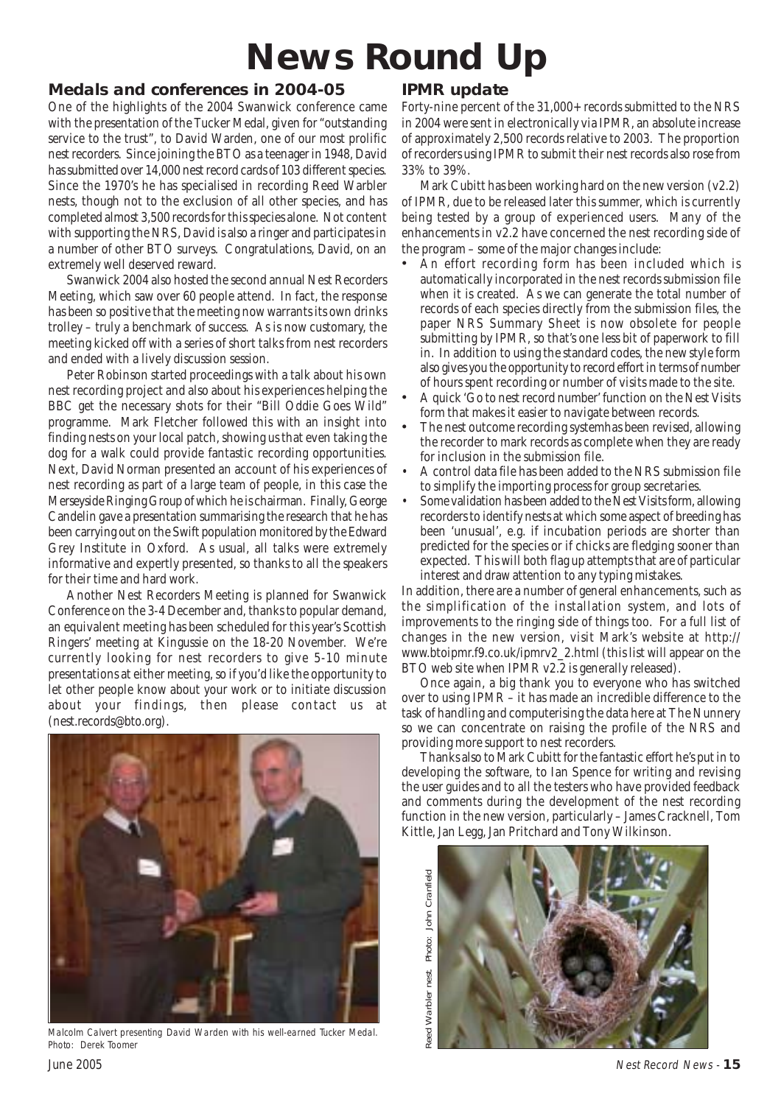# **News Round Up**

### **Medals and conferences in 2004-05**

One of the highlights of the 2004 Swanwick conference came with the presentation of the Tucker Medal, given for "outstanding service to the trust", to David Warden, one of our most prolific nest recorders. Since joining the BTO as a teenager in 1948, David has submitted over 14,000 nest record cards of 103 different species. Since the 1970's he has specialised in recording Reed Warbler nests, though not to the exclusion of all other species, and has completed almost 3,500 records for this species alone. Not content with supporting the NRS, David is also a ringer and participates in a number of other BTO surveys. Congratulations, David, on an extremely well deserved reward.

Swanwick 2004 also hosted the second annual Nest Recorders Meeting, which saw over 60 people attend. In fact, the response has been so positive that the meeting now warrants its own drinks trolley – truly a benchmark of success. As is now customary, the meeting kicked off with a series of short talks from nest recorders and ended with a lively discussion session.

Peter Robinson started proceedings with a talk about his own nest recording project and also about his experiences helping the BBC get the necessary shots for their "Bill Oddie Goes Wild" programme. Mark Fletcher followed this with an insight into finding nests on your local patch, showing us that even taking the dog for a walk could provide fantastic recording opportunities. Next, David Norman presented an account of his experiences of nest recording as part of a large team of people, in this case the Merseyside Ringing Group of which he is chairman. Finally, George Candelin gave a presentation summarising the research that he has been carrying out on the Swift population monitored by the Edward Grey Institute in Oxford. As usual, all talks were extremely informative and expertly presented, so thanks to all the speakers for their time and hard work.

Another Nest Recorders Meeting is planned for Swanwick Conference on the 3-4 December and, thanks to popular demand, an equivalent meeting has been scheduled for this year's Scottish Ringers' meeting at Kingussie on the 18-20 November. We're currently looking for nest recorders to give 5-10 minute presentations at either meeting, so if you'd like the opportunity to let other people know about your work or to initiate discussion about your findings, then please contact us at (nest.records@bto.org).



Malcolm Calvert presenting David Warden with his well-earned Tucker Medal. Photo: Derek Toomer

# **IPMR update**

Forty-nine percent of the 31,000+ records submitted to the NRS in 2004 were sent in electronically via IPMR, an absolute increase of approximately 2,500 records relative to 2003. The proportion of recorders using IPMR to submit their nest records also rose from 33% to 39%.

Mark Cubitt has been working hard on the new version (v2.2) of IPMR, due to be released later this summer, which is currently being tested by a group of experienced users. Many of the enhancements in v2.2 have concerned the nest recording side of the program – some of the major changes include:

- An effort recording form has been included which is automatically incorporated in the nest records submission file when it is created. As we can generate the total number of records of each species directly from the submission files, the paper NRS Summary Sheet is now obsolete for people submitting by IPMR, so that's one less bit of paperwork to fill in. In addition to using the standard codes, the new style form also gives you the opportunity to record effort in terms of number of hours spent recording or number of visits made to the site.
- A quick 'Go to nest record number' function on the Nest Visits form that makes it easier to navigate between records.
- The nest outcome recording systemhas been revised, allowing the recorder to mark records as complete when they are ready for inclusion in the submission file.
- A control data file has been added to the NRS submission file to simplify the importing process for group secretaries.
- Some validation has been added to the Nest Visits form, allowing recorders to identify nests at which some aspect of breeding has been 'unusual', e.g. if incubation periods are shorter than predicted for the species or if chicks are fledging sooner than expected. This will both flag up attempts that are of particular interest and draw attention to any typing mistakes.

In addition, there are a number of general enhancements, such as the simplification of the installation system, and lots of improvements to the ringing side of things too. For a full list of changes in the new version, visit Mark's website at http:// www.btoipmr.f9.co.uk/ipmrv2\_2.html (this list will appear on the BTO web site when IPMR v2.2 is generally released).

Once again, a big thank you to everyone who has switched over to using IPMR – it has made an incredible difference to the task of handling and computerising the data here at The Nunnery so we can concentrate on raising the profile of the NRS and providing more support to nest recorders.

Thanks also to Mark Cubitt for the fantastic effort he's put in to developing the software, to Ian Spence for writing and revising the user guides and to all the testers who have provided feedback and comments during the development of the nest recording function in the new version, particularly – James Cracknell, Tom Kittle, Jan Legg, Jan Pritchard and Tony Wilkinson.

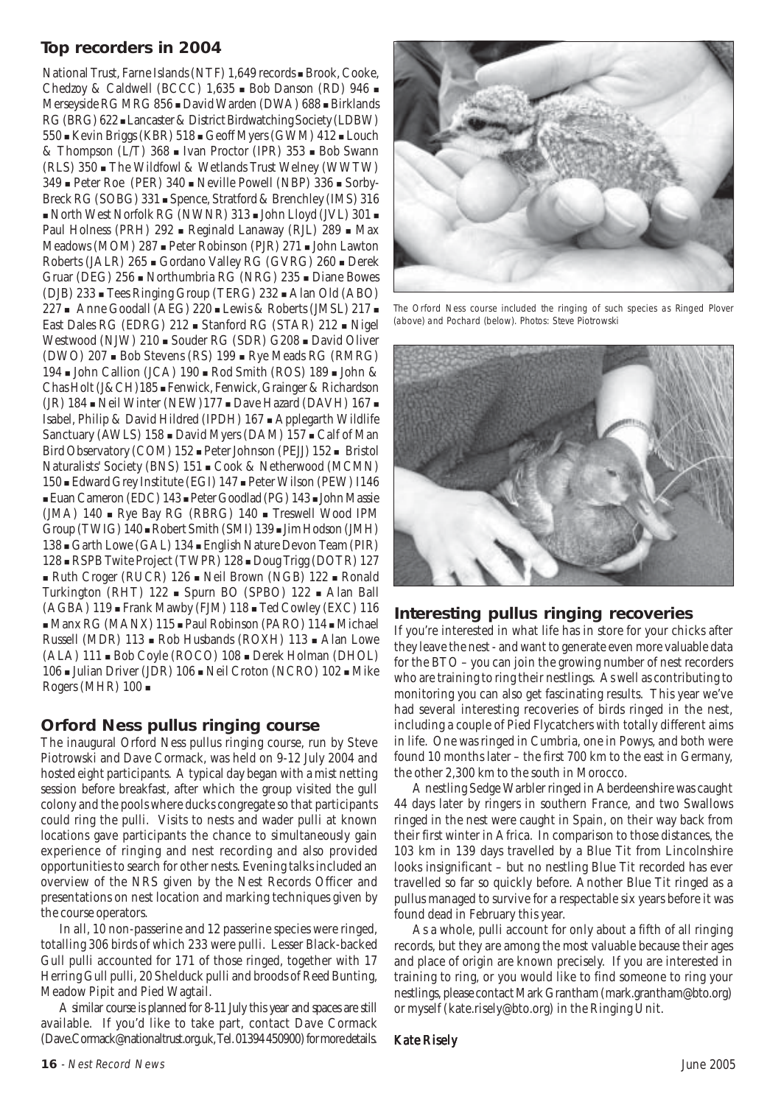# **Top recorders in 2004**

National Trust, Farne Islands (NTF) 1,649 records **E** Brook, Cooke, Chedzoy & Caldwell (BCCC)  $1,635$  . Bob Danson (RD)  $946$  . Merseyside RG MRG 856 . David Warden (DWA) 688 . Birklands RG (BRG) 622 Lancaster & District Birdwatching Society (LDBW) 550 ! Kevin Briggs (KBR) 518 ! Geoff Myers (GWM) 412 ! Louch & Thompson (L/T) 368  $\blacksquare$  Ivan Proctor (IPR) 353  $\blacksquare$  Bob Swann (RLS) 350 ! The Wildfowl & Wetlands Trust Welney (WWTW)  $349$   $\blacksquare$  Peter Roe (PER)  $340$   $\blacksquare$  Neville Powell (NBP)  $336$   $\blacksquare$  Sorby-Breck RG (SOBG) 331 . Spence, Stratford & Brenchley (IMS) 316 . North West Norfolk RG (NWNR) 313 . John Lloyd (JVL) 301 . Paul Holness (PRH) 292 · Reginald Lanaway (RJL) 289 · Max Meadows (MOM) 287 **.** Peter Robinson (PJR) 271 **.** John Lawton Roberts (JALR) 265 ! Gordano Valley RG (GVRG) 260 ! Derek Gruar (DEG) 256 ! Northumbria RG (NRG) 235 ! Diane Bowes (DJB) 233 ! Tees Ringing Group (TERG) 232 ! Alan Old (ABO) 227 The Goodall (AEG) 220 Lewis & Roberts (JMSL) 217 East Dales RG (EDRG) 212 · Stanford RG (STAR) 212 · Nigel Westwood (NJW) 210 . Souder RG (SDR) G208 . David Oliver (DWO)  $207 \bullet$  Bob Stevens (RS)  $199 \bullet$  Rye Meads RG (RMRG) 194 **.** John Callion (JCA) 190 **.** Rod Smith (ROS) 189 **.** John & Chas Holt (J&CH)185 ! Fenwick, Fenwick, Grainger & Richardson (JR)  $184$   $\blacksquare$  Neil Winter (NEW) $177$   $\blacksquare$  Dave Hazard (DAVH)  $167$   $\blacksquare$ Isabel, Philip & David Hildred (IPDH) 167 ! Applegarth Wildlife Sanctuary (AWLS) 158 . David Myers (DAM) 157 . Calf of Man Bird Observatory (COM) 152 ! Peter Johnson (PEJJ) 152 ! Bristol Naturalists' Society (BNS) 151 ! Cook & Netherwood (MCMN) 150 ! Edward Grey Institute (EGI) 147 ! Peter Wilson (PEW) I146 ! Euan Cameron (EDC) 143 ! Peter Goodlad (PG) 143 ! John Massie (JMA)  $140$   $\blacksquare$  Rye Bay RG (RBRG)  $140$   $\blacksquare$  Treswell Wood IPM Group (TWIG)  $140 \equiv$  Robert Smith (SMI)  $139 \equiv$  Jim Hodson (JMH) 138 Garth Lowe (GAL) 134 English Nature Devon Team (PIR) 128 **· RSPB Twite Project (TWPR) 128 · Doug Trigg (DOTR) 127** ! Ruth Croger (RUCR) 126 ! Neil Brown (NGB) 122 ! Ronald Turkington (RHT) 122 · Spurn BO (SPBO) 122 · Alan Ball (AGBA) 119 · Frank Mawby (FJM) 118 · Ted Cowley (EXC) 116 ! Manx RG (MANX) 115 ! Paul Robinson (PARO) 114 ! Michael Russell (MDR) 113 - Rob Husbands (ROXH) 113 - Alan Lowe (ALA) 111 ! Bob Coyle (ROCO) 108 ! Derek Holman (DHOL) 106 - Julian Driver (JDR) 106 - Neil Croton (NCRO) 102 - Mike Rogers (MHR) 100 !

### **Orford Ness pullus ringing course**

The inaugural Orford Ness pullus ringing course, run by Steve Piotrowski and Dave Cormack, was held on 9-12 July 2004 and hosted eight participants. A typical day began with a mist netting session before breakfast, after which the group visited the gull colony and the pools where ducks congregate so that participants could ring the pulli. Visits to nests and wader pulli at known locations gave participants the chance to simultaneously gain experience of ringing and nest recording and also provided opportunities to search for other nests. Evening talks included an overview of the NRS given by the Nest Records Officer and presentations on nest location and marking techniques given by the course operators.

In all, 10 non-passerine and 12 passerine species were ringed, totalling 306 birds of which 233 were pulli. Lesser Black-backed Gull pulli accounted for 171 of those ringed, together with 17 Herring Gull pulli, 20 Shelduck pulli and broods of Reed Bunting, Meadow Pipit and Pied Wagtail.

A similar course is planned for 8-11 July this year and spaces are still available. If you'd like to take part, contact Dave Cormack (Dave.Cormack@nationaltrust.org.uk, Tel. 01394 450900) for more details.



The Orford Ness course included the ringing of such species as Ringed Plover (above) and Pochard (below). Photos: Steve Piotrowski



#### **Interesting pullus ringing recoveries**

If you're interested in what life has in store for your chicks after they leave the nest - and want to generate even more valuable data for the BTO – you can join the growing number of nest recorders who are training to ring their nestlings. As well as contributing to monitoring you can also get fascinating results. This year we've had several interesting recoveries of birds ringed in the nest, including a couple of Pied Flycatchers with totally different aims in life. One was ringed in Cumbria, one in Powys, and both were found 10 months later – the first 700 km to the east in Germany, the other 2,300 km to the south in Morocco.

A nestling Sedge Warbler ringed in Aberdeenshire was caught 44 days later by ringers in southern France, and two Swallows ringed in the nest were caught in Spain, on their way back from their first winter in Africa. In comparison to those distances, the 103 km in 139 days travelled by a Blue Tit from Lincolnshire looks insignificant – but no nestling Blue Tit recorded has ever travelled so far so quickly before. Another Blue Tit ringed as a pullus managed to survive for a respectable six years before it was found dead in February this year.

As a whole, pulli account for only about a fifth of all ringing records, but they are among the most valuable because their ages and place of origin are known precisely. If you are interested in training to ring, or you would like to find someone to ring your nestlings, please contact Mark Grantham (mark.grantham@bto.org) or myself (kate.risely@bto.org) in the Ringing Unit.

#### Kate Risely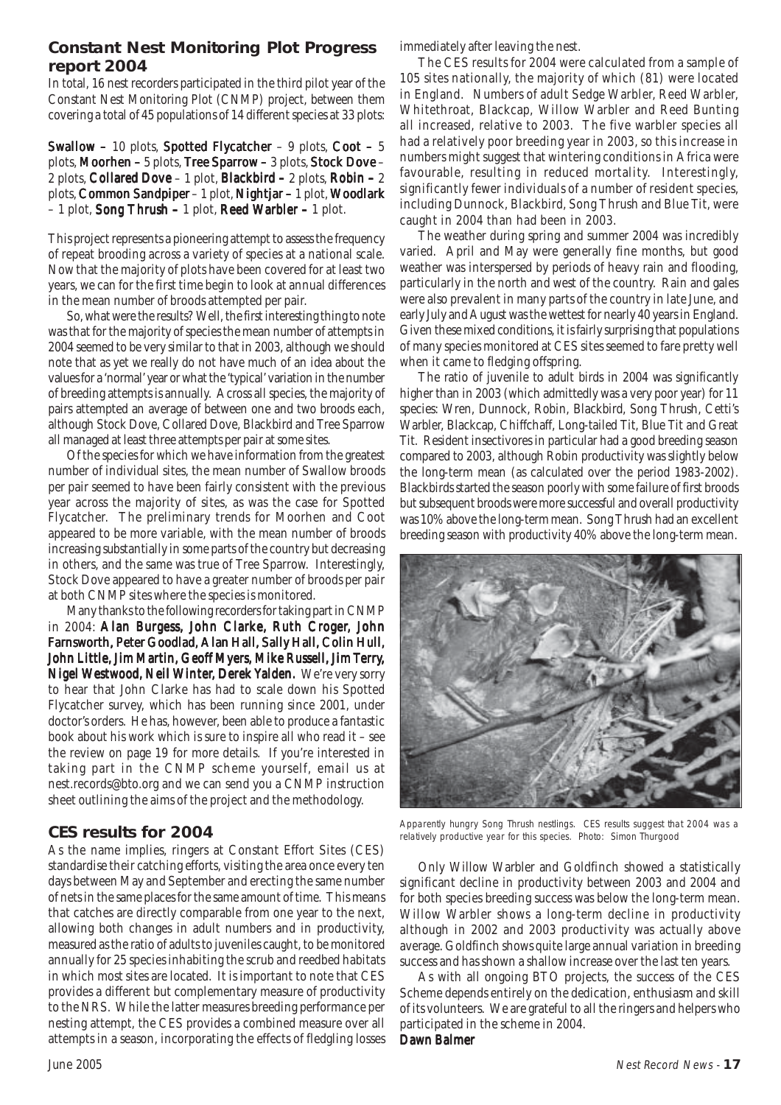### **Constant Nest Monitoring Plot Progress report 2004**

In total, 16 nest recorders participated in the third pilot year of the Constant Nest Monitoring Plot (CNMP) project, between them covering a total of 45 populations of 14 different species at 33 plots:

Swallow – 10 plots, Spotted Flycatcher – 9 plots, Coot – 5 plots, Moorhen – 5 plots, Tree Sparrow – 3 plots, Stock Dove – 2 plots, Collared Dove – 1 plot, Blackbird – 2 plots, Robin – 2 plots, Common Sandpiper – 1 plot, Nightjar – 1 plot, Woodlark – 1 plot, Song Thrush – 1 plot, Reed Warbler – 1 plot.

This project represents a pioneering attempt to assess the frequency of repeat brooding across a variety of species at a national scale. Now that the majority of plots have been covered for at least two years, we can for the first time begin to look at annual differences in the mean number of broods attempted per pair.

So, what were the results? Well, the first interesting thing to note was that for the majority of species the mean number of attempts in 2004 seemed to be very similar to that in 2003, although we should note that as yet we really do not have much of an idea about the values for a 'normal' year or what the 'typical' variation in the number of breeding attempts is annually. Across all species, the majority of pairs attempted an average of between one and two broods each, although Stock Dove, Collared Dove, Blackbird and Tree Sparrow all managed at least three attempts per pair at some sites.

Of the species for which we have information from the greatest number of individual sites, the mean number of Swallow broods per pair seemed to have been fairly consistent with the previous year across the majority of sites, as was the case for Spotted Flycatcher. The preliminary trends for Moorhen and Coot appeared to be more variable, with the mean number of broods increasing substantially in some parts of the country but decreasing in others, and the same was true of Tree Sparrow. Interestingly, Stock Dove appeared to have a greater number of broods per pair at both CNMP sites where the species is monitored.

Many thanks to the following recorders for taking part in CNMP in 2004: Alan Burgess, John Clarke, Ruth Croger, John Farnsworth, Peter Goodlad, Alan Hall, Sally Hall, Colin Hull, John Little, Jim Martin, Geoff Myers, Mike Russell, Jim Terry, Nigel Westwood, Neil Winter, Derek Yalden. We're very sorry to hear that John Clarke has had to scale down his Spotted Flycatcher survey, which has been running since 2001, under doctor's orders. He has, however, been able to produce a fantastic book about his work which is sure to inspire all who read it – see the review on page 19 for more details. If you're interested in taking part in the CNMP scheme yourself, email us at nest.records@bto.org and we can send you a CNMP instruction sheet outlining the aims of the project and the methodology.

### **CES results for 2004**

As the name implies, ringers at Constant Effort Sites (CES) standardise their catching efforts, visiting the area once every ten days between May and September and erecting the same number of nets in the same places for the same amount of time. This means that catches are directly comparable from one year to the next, allowing both changes in adult numbers and in productivity, measured as the ratio of adults to juveniles caught, to be monitored annually for 25 species inhabiting the scrub and reedbed habitats in which most sites are located. It is important to note that CES provides a different but complementary measure of productivity to the NRS. While the latter measures breeding performance per nesting attempt, the CES provides a combined measure over all attempts in a season, incorporating the effects of fledgling losses

immediately after leaving the nest.

The CES results for 2004 were calculated from a sample of 105 sites nationally, the majority of which (81) were located in England. Numbers of adult Sedge Warbler, Reed Warbler, Whitethroat, Blackcap, Willow Warbler and Reed Bunting all increased, relative to 2003. The five warbler species all had a relatively poor breeding year in 2003, so this increase in numbers might suggest that wintering conditions in Africa were favourable, resulting in reduced mortality. Interestingly, significantly fewer individuals of a number of resident species, including Dunnock, Blackbird, Song Thrush and Blue Tit, were caught in 2004 than had been in 2003.

The weather during spring and summer 2004 was incredibly varied. April and May were generally fine months, but good weather was interspersed by periods of heavy rain and flooding, particularly in the north and west of the country. Rain and gales were also prevalent in many parts of the country in late June, and early July and August was the wettest for nearly 40 years in England. Given these mixed conditions, it is fairly surprising that populations of many species monitored at CES sites seemed to fare pretty well when it came to fledging offspring.

The ratio of juvenile to adult birds in 2004 was significantly higher than in 2003 (which admittedly was a very poor year) for 11 species: Wren, Dunnock, Robin, Blackbird, Song Thrush, Cetti's Warbler, Blackcap, Chiffchaff, Long-tailed Tit, Blue Tit and Great Tit. Resident insectivores in particular had a good breeding season compared to 2003, although Robin productivity was slightly below the long-term mean (as calculated over the period 1983-2002). Blackbirds started the season poorly with some failure of first broods but subsequent broods were more successful and overall productivity was 10% above the long-term mean. Song Thrush had an excellent breeding season with productivity 40% above the long-term mean.



Apparently hungry Song Thrush nestlings. CES results suggest that 2004 was a relatively productive year for this species. Photo: Simon Thurgood

Only Willow Warbler and Goldfinch showed a statistically significant decline in productivity between 2003 and 2004 and for both species breeding success was below the long-term mean. Willow Warbler shows a long-term decline in productivity although in 2002 and 2003 productivity was actually above average. Goldfinch shows quite large annual variation in breeding success and has shown a shallow increase over the last ten years.

As with all ongoing BTO projects, the success of the CES Scheme depends entirely on the dedication, enthusiasm and skill of its volunteers. We are grateful to all the ringers and helpers who participated in the scheme in 2004.

#### Dawn Balmer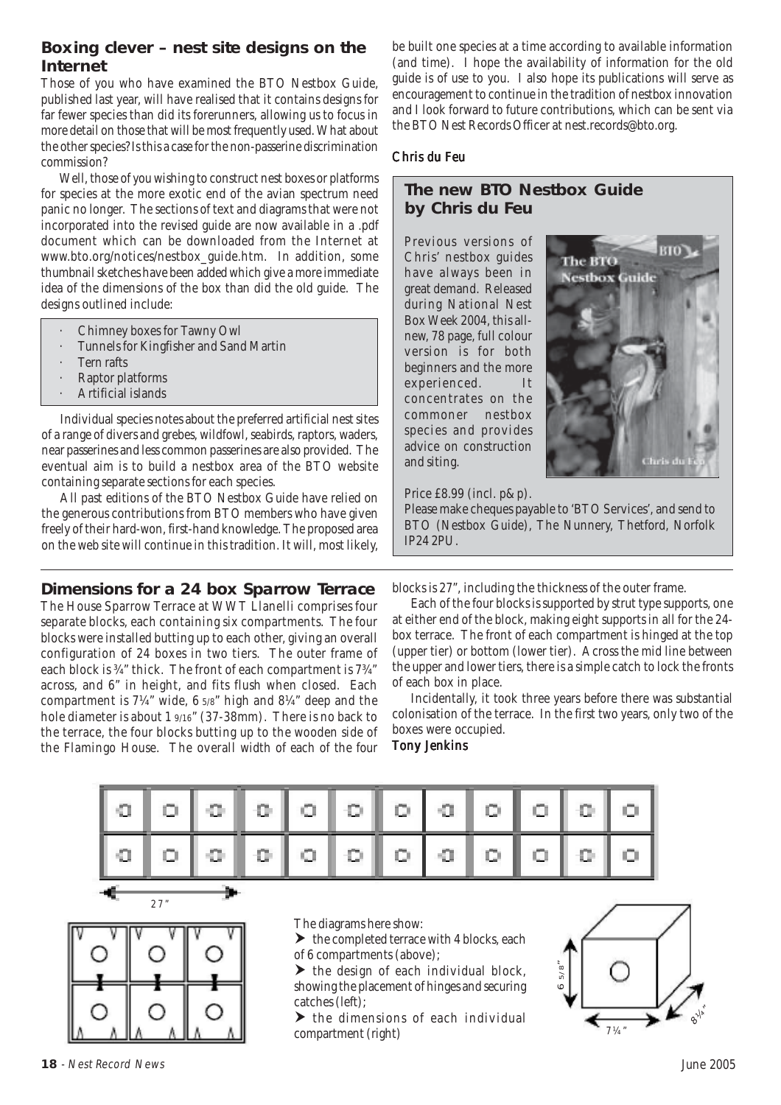### **Boxing clever – nest site designs on the Internet**

Those of you who have examined the BTO Nestbox Guide, published last year, will have realised that it contains designs for far fewer species than did its forerunners, allowing us to focus in more detail on those that will be most frequently used. What about the other species? Is this a case for the non-passerine discrimination commission?

Well, those of you wishing to construct nest boxes or platforms for species at the more exotic end of the avian spectrum need panic no longer. The sections of text and diagrams that were not incorporated into the revised guide are now available in a .pdf document which can be downloaded from the Internet at www.bto.org/notices/nestbox\_guide.htm. In addition, some thumbnail sketches have been added which give a more immediate idea of the dimensions of the box than did the old guide. The designs outlined include:

- · Chimney boxes for Tawny Owl
- · Tunnels for Kingfisher and Sand Martin
- Tern rafts
- Raptor platforms
- · Artificial islands

Individual species notes about the preferred artificial nest sites of a range of divers and grebes, wildfowl, seabirds, raptors, waders, near passerines and less common passerines are also provided. The eventual aim is to build a nestbox area of the BTO website containing separate sections for each species.

All past editions of the BTO Nestbox Guide have relied on the generous contributions from BTO members who have given freely of their hard-won, first-hand knowledge. The proposed area on the web site will continue in this tradition. It will, most likely,

#### **Dimensions for a 24 box Sparrow Terrace**

The House Sparrow Terrace at WWT Llanelli comprises four separate blocks, each containing six compartments. The four blocks were installed butting up to each other, giving an overall configuration of 24 boxes in two tiers. The outer frame of each block is ¾" thick. The front of each compartment is 7¾" across, and 6" in height, and fits flush when closed. Each compartment is 7¼" wide, 6 5/8" high and 8¼" deep and the hole diameter is about 1 9/16" (37-38mm). There is no back to the terrace, the four blocks butting up to the wooden side of the Flamingo House. The overall width of each of the four be built one species at a time according to available information (and time). I hope the availability of information for the old guide is of use to you. I also hope its publications will serve as encouragement to continue in the tradition of nestbox innovation and I look forward to future contributions, which can be sent via the BTO Nest Records Officer at nest.records@bto.org.

#### Chris du Feu

### **The new BTO Nestbox Guide by Chris du Feu**

Previous versions of Chris' nestbox guides have always been in great demand. Released during National Nest Box Week 2004, this allnew, 78 page, full colour version is for both beginners and the more experienced. It concentrates on the commoner nestbox species and provides advice on construction and siting.



Price £8.99 (incl. p&p).

Please make cheques payable to 'BTO Services', and send to BTO (Nestbox Guide), The Nunnery, Thetford, Norfolk IP24 2PU.

blocks is 27", including the thickness of the outer frame.

Each of the four blocks is supported by strut type supports, one at either end of the block, making eight supports in all for the 24 box terrace. The front of each compartment is hinged at the top (upper tier) or bottom (lower tier). Across the mid line between the upper and lower tiers, there is a simple catch to lock the fronts of each box in place.

Incidentally, it took three years before there was substantial colonisation of the terrace. In the first two years, only two of the boxes were occupied.

#### **Tony Jenkins**





The diagrams here show:

 $\blacktriangleright$  the completed terrace with 4 blocks, each of 6 compartments (above);

 $\blacktriangleright$  the design of each individual block. showing the placement of hinges and securing catches (left);

 $\blacktriangleright$  the dimensions of each individual compartment (right)

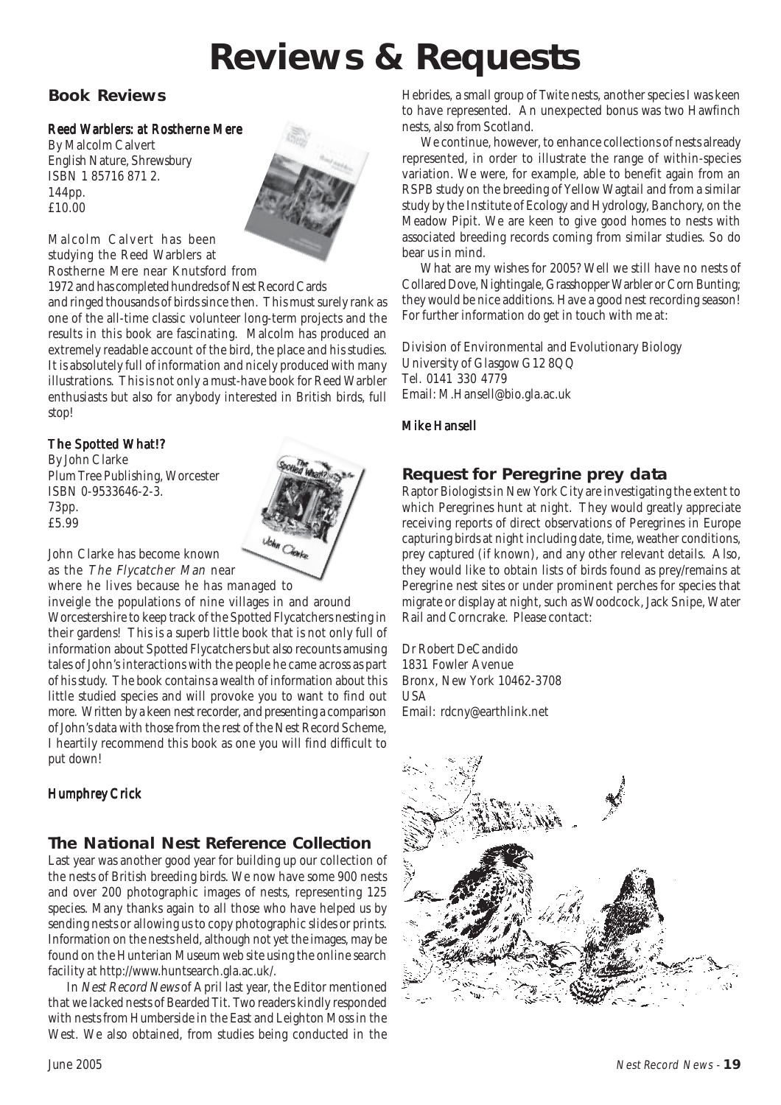# **Reviews & Requests**

# **Book Reviews**

#### Reed Warblers: at Rostherne Mere

By Malcolm Calvert English Nature, Shrewsbury ISBN 1 85716 871 2. 144pp. £10.00



Malcolm Calvert has been studying the Reed Warblers at Rostherne Mere near Knutsford from

1972 and has completed hundreds of Nest Record Cards

and ringed thousands of birds since then. This must surely rank as one of the all-time classic volunteer long-term projects and the results in this book are fascinating. Malcolm has produced an extremely readable account of the bird, the place and his studies. It is absolutely full of information and nicely produced with many illustrations. This is not only a must-have book for Reed Warbler enthusiasts but also for anybody interested in British birds, full stop!

#### The Spotted What!?

By John Clarke Plum Tree Publishing, Worcester ISBN 0-9533646-2-3. 73pp. £5.99



John Clarke has become known as the The Flycatcher Man near

where he lives because he has managed to inveigle the populations of nine villages in and around Worcestershire to keep track of the Spotted Flycatchers nesting in their gardens! This is a superb little book that is not only full of information about Spotted Flycatchers but also recounts amusing tales of John's interactions with the people he came across as part of his study. The book contains a wealth of information about this little studied species and will provoke you to want to find out more. Written by a keen nest recorder, and presenting a comparison of John's data with those from the rest of the Nest Record Scheme, I heartily recommend this book as one you will find difficult to put down!

### Humphrey Crick

# **The National Nest Reference Collection**

Last year was another good year for building up our collection of the nests of British breeding birds. We now have some 900 nests and over 200 photographic images of nests, representing 125 species. Many thanks again to all those who have helped us by sending nests or allowing us to copy photographic slides or prints. Information on the nests held, although not yet the images, may be found on the Hunterian Museum web site using the online search facility at http://www.huntsearch.gla.ac.uk/.

In Nest Record News of April last year, the Editor mentioned that we lacked nests of Bearded Tit. Two readers kindly responded with nests from Humberside in the East and Leighton Moss in the West. We also obtained, from studies being conducted in the

Hebrides, a small group of Twite nests, another species I was keen to have represented. An unexpected bonus was two Hawfinch nests, also from Scotland.

We continue, however, to enhance collections of nests already represented, in order to illustrate the range of within-species variation. We were, for example, able to benefit again from an RSPB study on the breeding of Yellow Wagtail and from a similar study by the Institute of Ecology and Hydrology, Banchory, on the Meadow Pipit. We are keen to give good homes to nests with associated breeding records coming from similar studies. So do bear us in mind.

What are my wishes for 2005? Well we still have no nests of Collared Dove, Nightingale, Grasshopper Warbler or Corn Bunting; they would be nice additions. Have a good nest recording season! For further information do get in touch with me at:

Division of Environmental and Evolutionary Biology University of Glasgow G12 8QQ Tel. 0141 330 4779 Email: M.Hansell@bio.gla.ac.uk

#### **Mike Hansell**

# **Request for Peregrine prey data**

Raptor Biologists in New York City are investigating the extent to which Peregrines hunt at night. They would greatly appreciate receiving reports of direct observations of Peregrines in Europe capturing birds at night including date, time, weather conditions, prey captured (if known), and any other relevant details. Also, they would like to obtain lists of birds found as prey/remains at Peregrine nest sites or under prominent perches for species that migrate or display at night, such as Woodcock, Jack Snipe, Water Rail and Corncrake. Please contact:

Dr Robert DeCandido 1831 Fowler Avenue Bronx, New York 10462-3708 **USA** Email: rdcny@earthlink.net